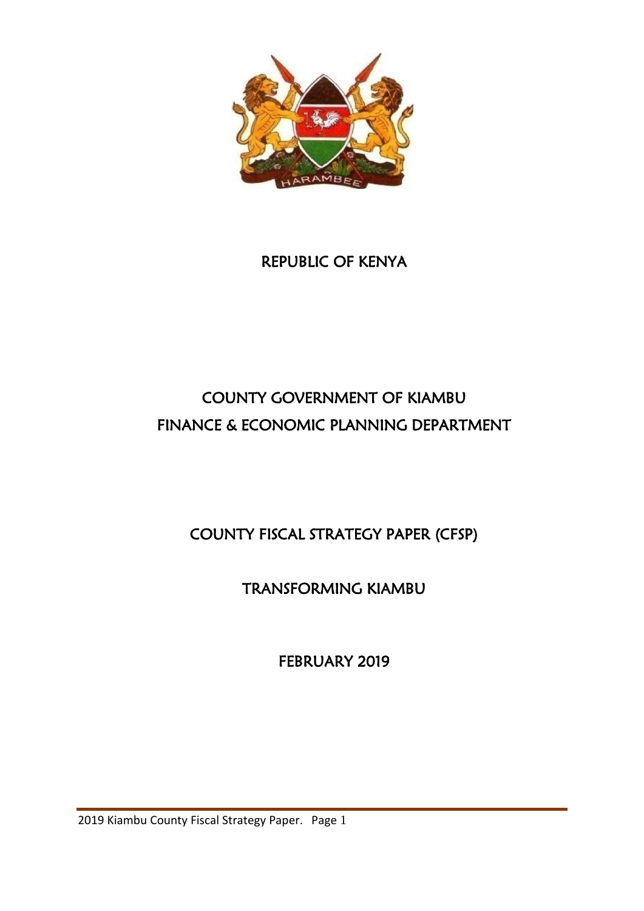

# REPUBLIC OF KENYA

# COUNTY GOVERNMENT OF KIAMBU FINANCE & ECONOMIC PLANNING DEPARTMENT

# COUNTY FISCAL STRATEGY PAPER (CFSP)

# TRANSFORMING KIAMBU

FEBRUARY 2019

2019 Kiambu County Fiscal Strategy Paper. Page 1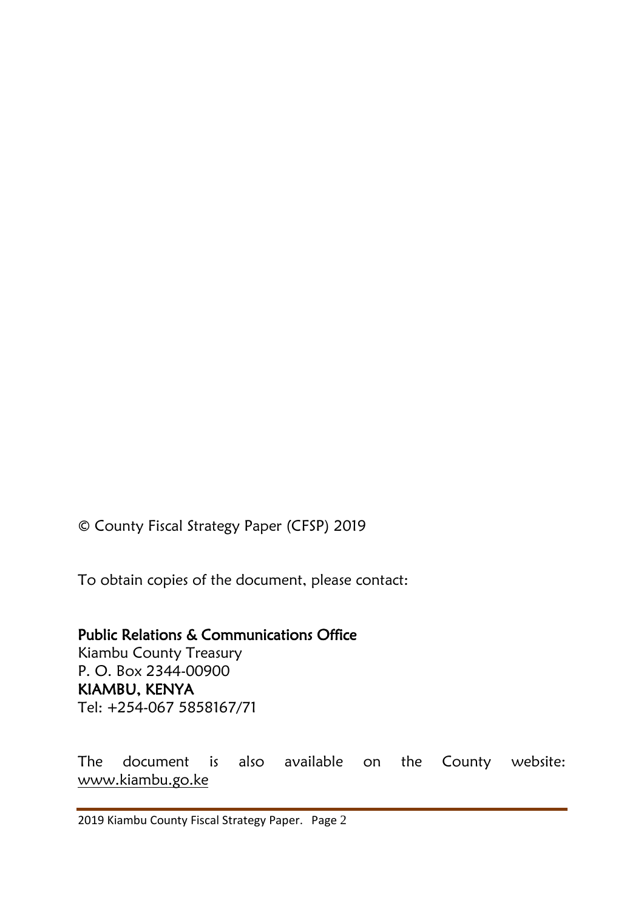© County Fiscal Strategy Paper (CFSP) 2019

To obtain copies of the document, please contact:

## Public Relations & Communications Office

Kiambu County Treasury P. O. Box 2344-00900 KIAMBU, KENYA Tel: +254-067 5858167/71

The document is also available on the County website: [www.kiambu.go.ke](http://www.kiambu.go.ke/)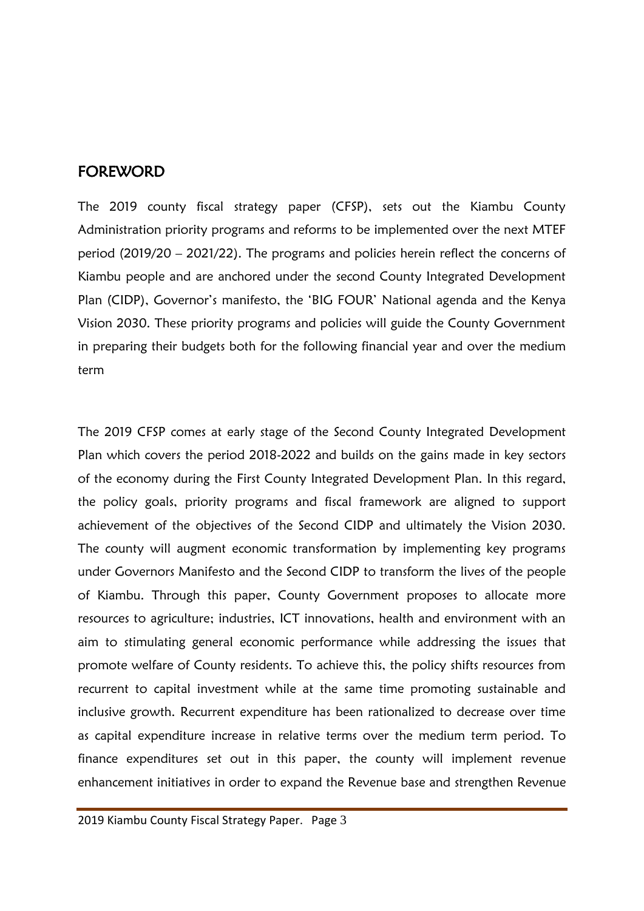#### <span id="page-2-0"></span>FOREWORD

The 2019 county fiscal strategy paper (CFSP), sets out the Kiambu County Administration priority programs and reforms to be implemented over the next MTEF period (2019/20 – 2021/22). The programs and policies herein reflect the concerns of Kiambu people and are anchored under the second County Integrated Development Plan (CIDP), Governor's manifesto, the 'BIG FOUR' National agenda and the Kenya Vision 2030. These priority programs and policies will guide the County Government in preparing their budgets both for the following financial year and over the medium term

The 2019 CFSP comes at early stage of the Second County Integrated Development Plan which covers the period 2018-2022 and builds on the gains made in key sectors of the economy during the First County Integrated Development Plan. In this regard, the policy goals, priority programs and fiscal framework are aligned to support achievement of the objectives of the Second CIDP and ultimately the Vision 2030. The county will augment economic transformation by implementing key programs under Governors Manifesto and the Second CIDP to transform the lives of the people of Kiambu. Through this paper, County Government proposes to allocate more resources to agriculture; industries, ICT innovations, health and environment with an aim to stimulating general economic performance while addressing the issues that promote welfare of County residents. To achieve this, the policy shifts resources from recurrent to capital investment while at the same time promoting sustainable and inclusive growth. Recurrent expenditure has been rationalized to decrease over time as capital expenditure increase in relative terms over the medium term period. To finance expenditures set out in this paper, the county will implement revenue enhancement initiatives in order to expand the Revenue base and strengthen Revenue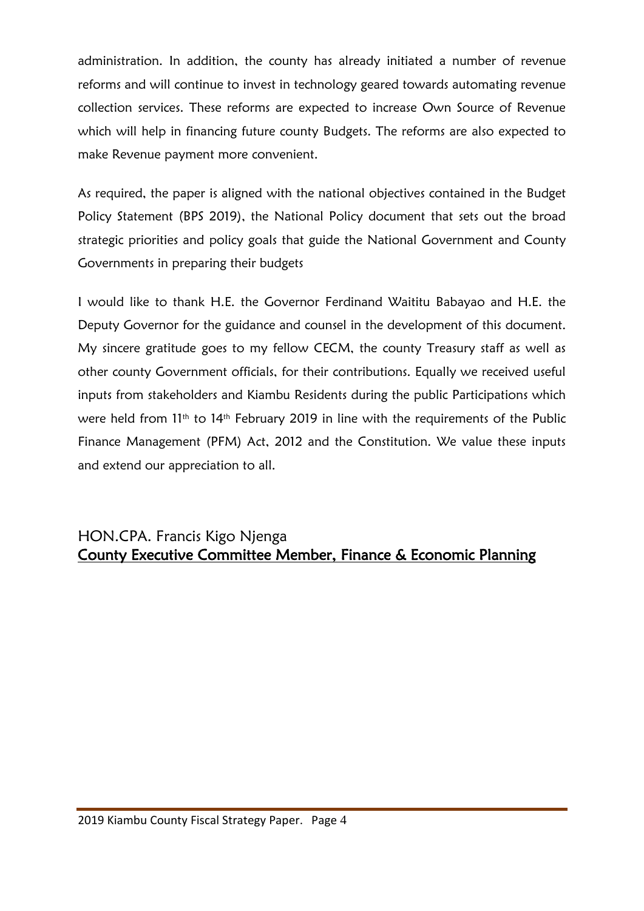administration. In addition, the county has already initiated a number of revenue reforms and will continue to invest in technology geared towards automating revenue collection services. These reforms are expected to increase Own Source of Revenue which will help in financing future county Budgets. The reforms are also expected to make Revenue payment more convenient.

As required, the paper is aligned with the national objectives contained in the Budget Policy Statement (BPS 2019), the National Policy document that sets out the broad strategic priorities and policy goals that guide the National Government and County Governments in preparing their budgets

I would like to thank H.E. the Governor Ferdinand Waititu Babayao and H.E. the Deputy Governor for the guidance and counsel in the development of this document. My sincere gratitude goes to my fellow CECM, the county Treasury staff as well as other county Government officials, for their contributions. Equally we received useful inputs from stakeholders and Kiambu Residents during the public Participations which were held from 11th to 14th February 2019 in line with the requirements of the Public Finance Management (PFM) Act, 2012 and the Constitution. We value these inputs and extend our appreciation to all.

## HON.CPA. Francis Kigo Njenga County Executive Committee Member, Finance & Economic Planning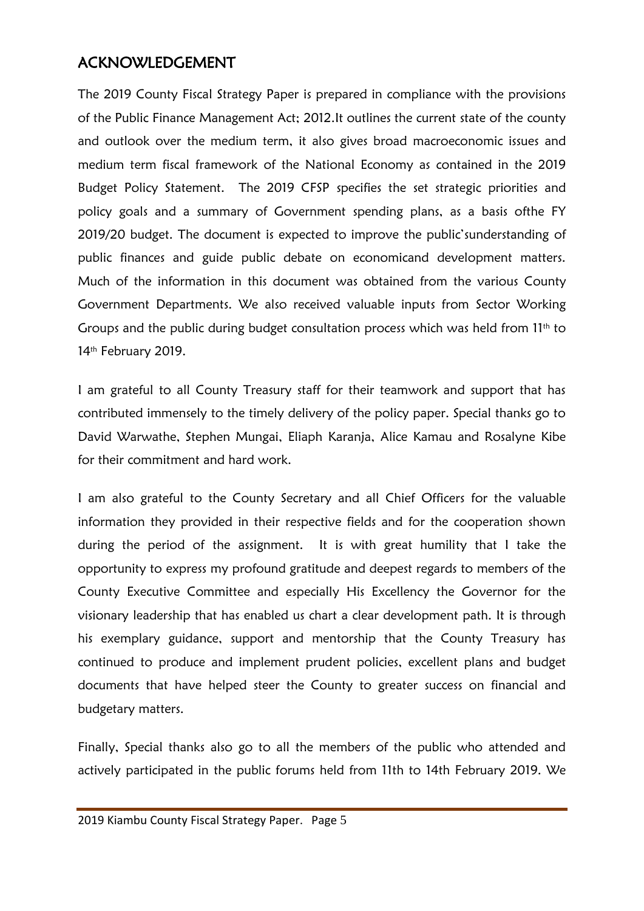## <span id="page-4-0"></span>ACKNOWLEDGEMENT

The 2019 County Fiscal Strategy Paper is prepared in compliance with the provisions of the Public Finance Management Act; 2012.It outlines the current state of the county and outlook over the medium term, it also gives broad macroeconomic issues and medium term fiscal framework of the National Economy as contained in the 2019 Budget Policy Statement. The 2019 CFSP specifies the set strategic priorities and policy goals and a summary of Government spending plans, as a basis ofthe FY 2019/20 budget. The document is expected to improve the public'sunderstanding of public finances and guide public debate on economicand development matters. Much of the information in this document was obtained from the various County Government Departments. We also received valuable inputs from Sector Working Groups and the public during budget consultation process which was held from 11<sup>th</sup> to 14th February 2019.

I am grateful to all County Treasury staff for their teamwork and support that has contributed immensely to the timely delivery of the policy paper. Special thanks go to David Warwathe, Stephen Mungai, Eliaph Karanja, Alice Kamau and Rosalyne Kibe for their commitment and hard work.

I am also grateful to the County Secretary and all Chief Officers for the valuable information they provided in their respective fields and for the cooperation shown during the period of the assignment. It is with great humility that I take the opportunity to express my profound gratitude and deepest regards to members of the County Executive Committee and especially His Excellency the Governor for the visionary leadership that has enabled us chart a clear development path. It is through his exemplary guidance, support and mentorship that the County Treasury has continued to produce and implement prudent policies, excellent plans and budget documents that have helped steer the County to greater success on financial and budgetary matters.

Finally, Special thanks also go to all the members of the public who attended and actively participated in the public forums held from 11th to 14th February 2019. We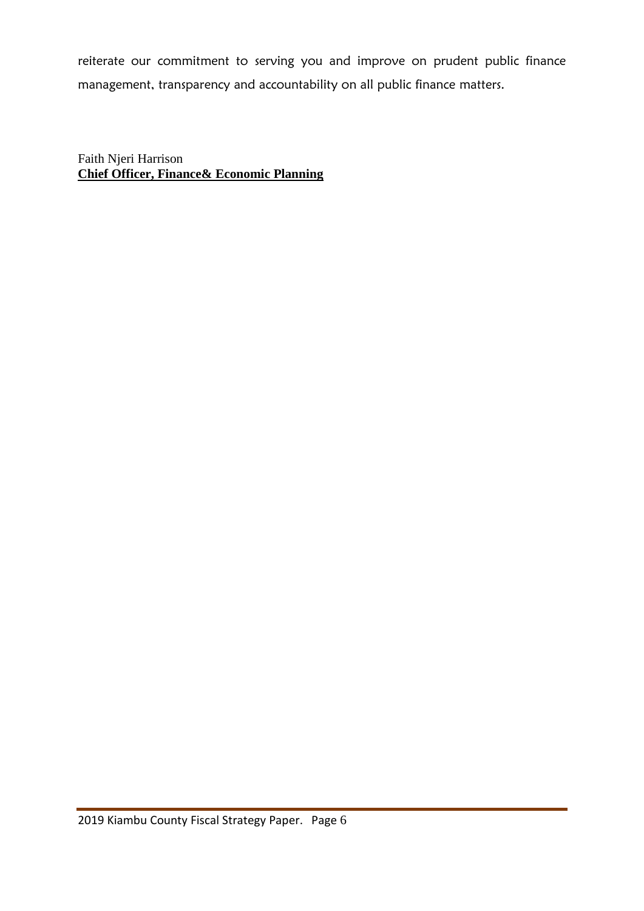reiterate our commitment to serving you and improve on prudent public finance management, transparency and accountability on all public finance matters.

Faith Njeri Harrison **Chief Officer, Finance& Economic Planning**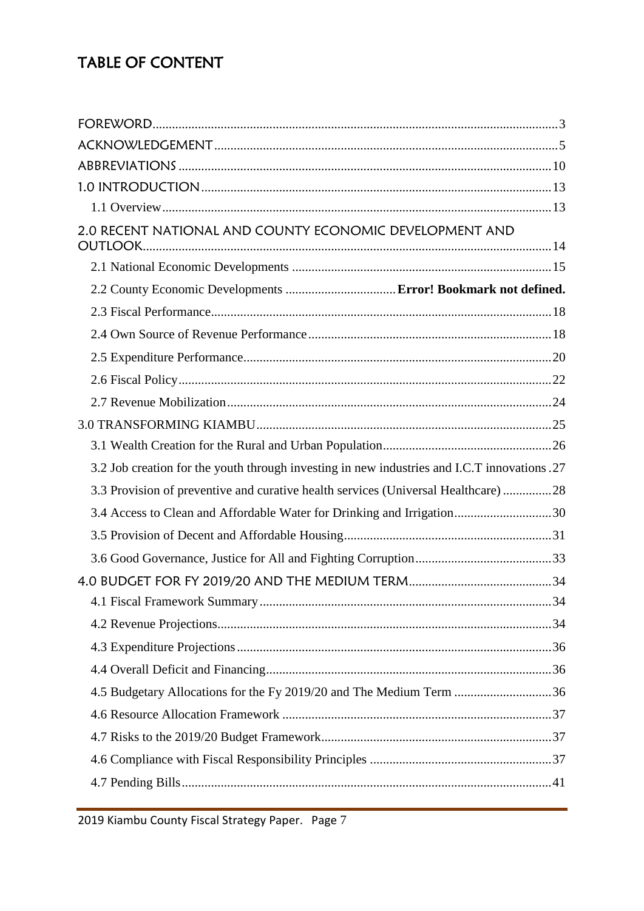# TABLE OF CONTENT

| 2.0 RECENT NATIONAL AND COUNTY ECONOMIC DEVELOPMENT AND                                      |  |
|----------------------------------------------------------------------------------------------|--|
|                                                                                              |  |
| 2.2 County Economic Developments  Error! Bookmark not defined.                               |  |
|                                                                                              |  |
|                                                                                              |  |
|                                                                                              |  |
|                                                                                              |  |
|                                                                                              |  |
|                                                                                              |  |
|                                                                                              |  |
| 3.2 Job creation for the youth through investing in new industries and I.C.T innovations .27 |  |
| 3.3 Provision of preventive and curative health services (Universal Healthcare) 28           |  |
| 3.4 Access to Clean and Affordable Water for Drinking and Irrigation30                       |  |
|                                                                                              |  |
|                                                                                              |  |
|                                                                                              |  |
|                                                                                              |  |
|                                                                                              |  |
|                                                                                              |  |
|                                                                                              |  |
| 4.5 Budgetary Allocations for the Fy 2019/20 and The Medium Term 36                          |  |
|                                                                                              |  |
|                                                                                              |  |
|                                                                                              |  |
|                                                                                              |  |
|                                                                                              |  |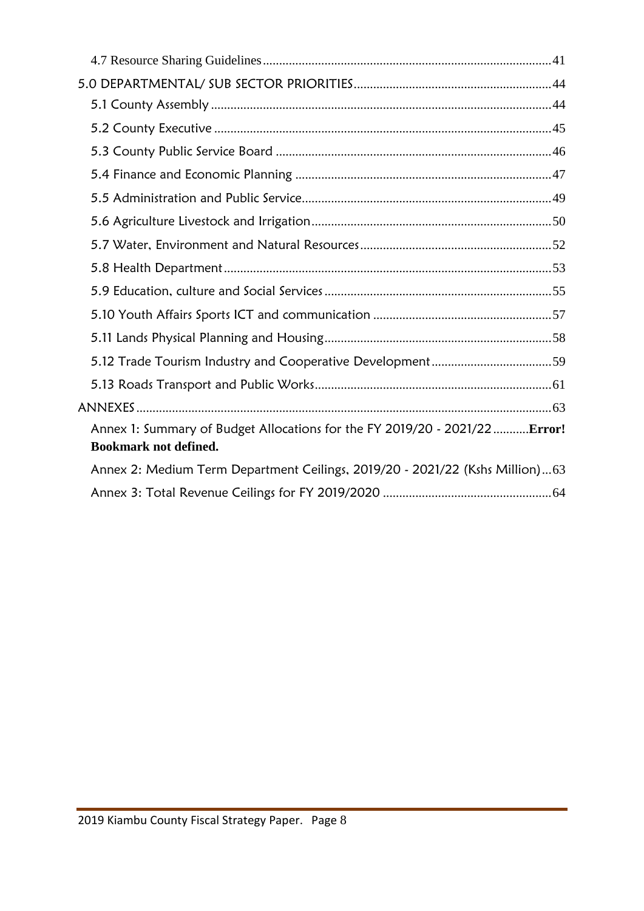| 5.12 Trade Tourism Industry and Cooperative Development59                                                 |
|-----------------------------------------------------------------------------------------------------------|
|                                                                                                           |
|                                                                                                           |
| Annex 1: Summary of Budget Allocations for the FY 2019/20 - 2021/22Error!<br><b>Bookmark not defined.</b> |
| Annex 2: Medium Term Department Ceilings, 2019/20 - 2021/22 (Kshs Million)63                              |
|                                                                                                           |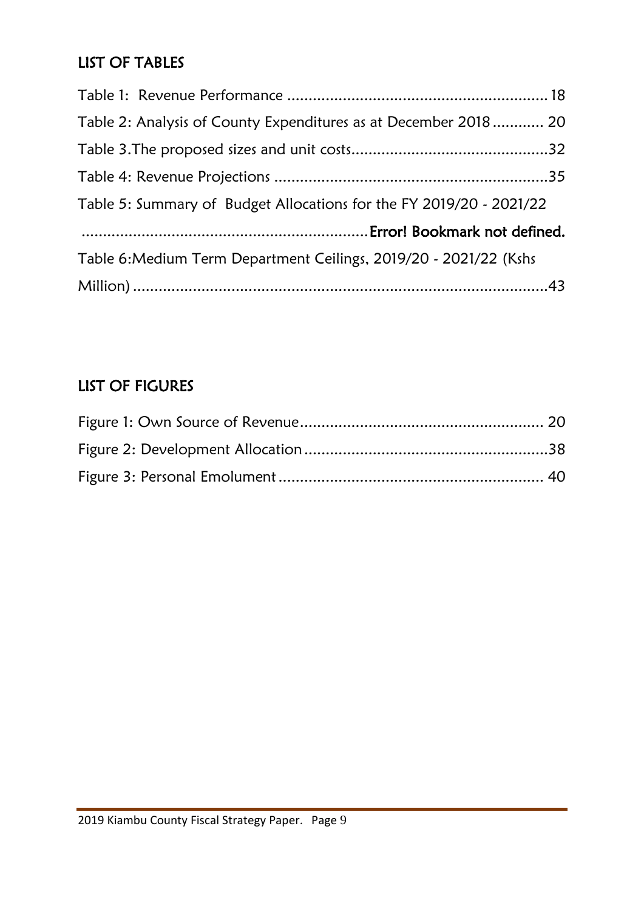# LIST OF TABLES

| Table 2: Analysis of County Expenditures as at December 2018 20     |  |
|---------------------------------------------------------------------|--|
|                                                                     |  |
|                                                                     |  |
| Table 5: Summary of Budget Allocations for the FY 2019/20 - 2021/22 |  |
|                                                                     |  |
| Table 6: Medium Term Department Ceilings, 2019/20 - 2021/22 (Kshs   |  |
|                                                                     |  |

# LIST OF FIGURES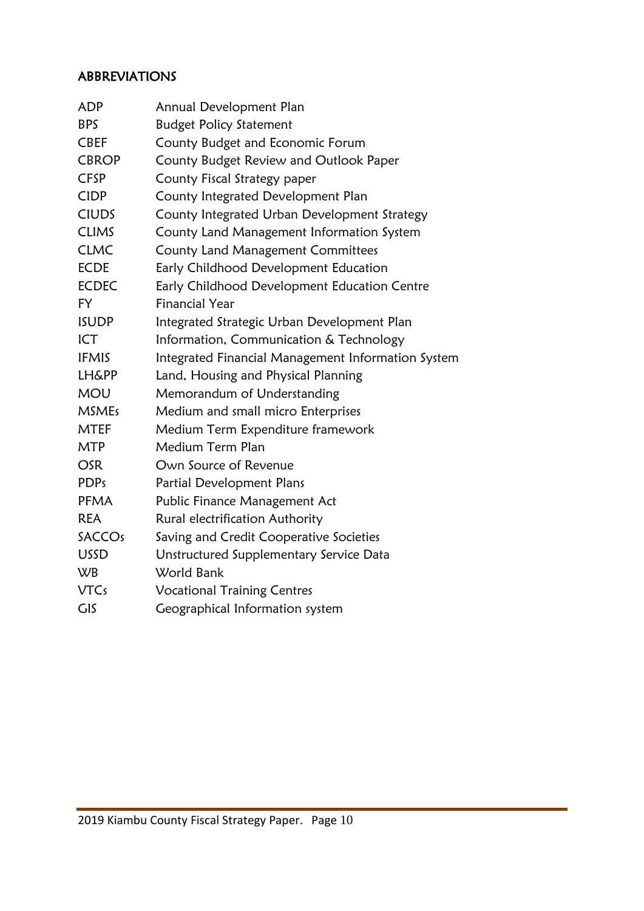## <span id="page-9-0"></span>ABBREVIATIONS

| <b>ADP</b>       | Annual Development Plan                            |
|------------------|----------------------------------------------------|
| <b>BPS</b>       | <b>Budget Policy Statement</b>                     |
| <b>CBEF</b>      | County Budget and Economic Forum                   |
| <b>CBROP</b>     | County Budget Review and Outlook Paper             |
| <b>CFSP</b>      | County Fiscal Strategy paper                       |
| <b>CIDP</b>      | County Integrated Development Plan                 |
| <b>CIUDS</b>     | County Integrated Urban Development Strategy       |
| <b>CLIMS</b>     | County Land Management Information System          |
| <b>CLMC</b>      | County Land Management Committees                  |
| <b>ECDE</b>      | Early Childhood Development Education              |
| <b>ECDEC</b>     | Early Childhood Development Education Centre       |
| FY               | <b>Financial Year</b>                              |
| <b>ISUDP</b>     | Integrated Strategic Urban Development Plan        |
| ICT              | Information, Communication & Technology            |
| <b>IFMIS</b>     | Integrated Financial Management Information System |
| <b>LH&amp;PP</b> | Land, Housing and Physical Planning                |
| <b>MOU</b>       | Memorandum of Understanding                        |
| <b>MSMEs</b>     | Medium and small micro Enterprises                 |
| <b>MTEF</b>      | Medium Term Expenditure framework                  |
| <b>MTP</b>       | Medium Term Plan                                   |
| <b>OSR</b>       | Own Source of Revenue                              |
| <b>PDPs</b>      | Partial Development Plans                          |
| <b>PFMA</b>      | Public Finance Management Act                      |
| <b>REA</b>       | Rural electrification Authority                    |
| <b>SACCOs</b>    | Saving and Credit Cooperative Societies            |
| <b>USSD</b>      | Unstructured Supplementary Service Data            |
| <b>WB</b>        | World Bank                                         |
| <b>VTCs</b>      | <b>Vocational Training Centres</b>                 |
| GIS              | Geographical Information system                    |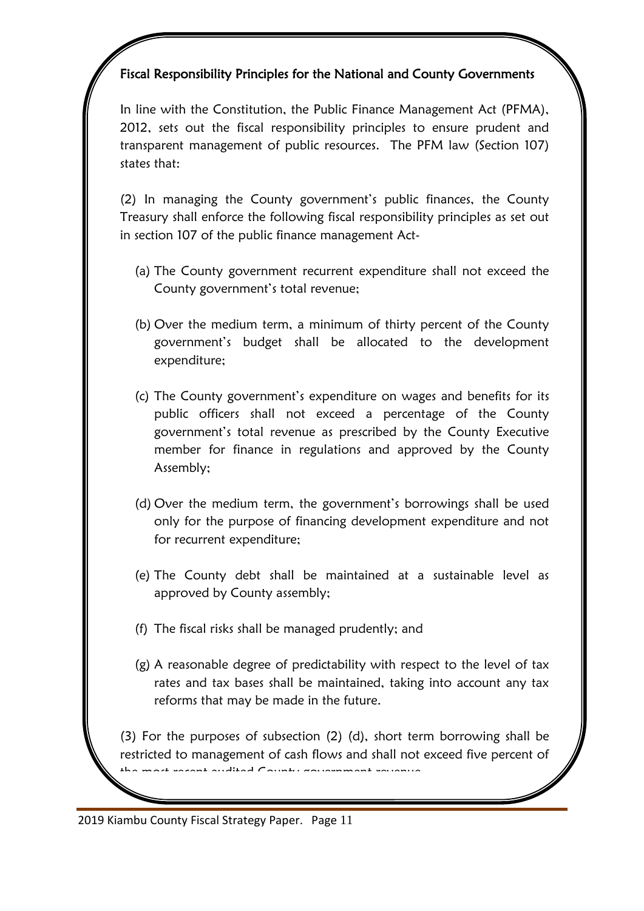## Fiscal Responsibility Principles for the National and County Governments

In line with the Constitution, the Public Finance Management Act (PFMA), 2012, sets out the fiscal responsibility principles to ensure prudent and transparent management of public resources. The PFM law (Section 107) states that:

(2) In managing the County government's public finances, the County Treasury shall enforce the following fiscal responsibility principles as set out in section 107 of the public finance management Act-

- (a) The County government recurrent expenditure shall not exceed the County government's total revenue;
- (b) Over the medium term, a minimum of thirty percent of the County government's budget shall be allocated to the development expenditure;
- (c) The County government's expenditure on wages and benefits for its public officers shall not exceed a percentage of the County government's total revenue as prescribed by the County Executive member for finance in regulations and approved by the County Assembly;
- (d) Over the medium term, the government's borrowings shall be used only for the purpose of financing development expenditure and not for recurrent expenditure;
- (e) The County debt shall be maintained at a sustainable level as approved by County assembly;
- (f) The fiscal risks shall be managed prudently; and
- (g) A reasonable degree of predictability with respect to the level of tax rates and tax bases shall be maintained, taking into account any tax reforms that may be made in the future.

(3) For the purposes of subsection (2) (d), short term borrowing shall be restricted to management of cash flows and shall not exceed five percent of the most recent audited County government revenue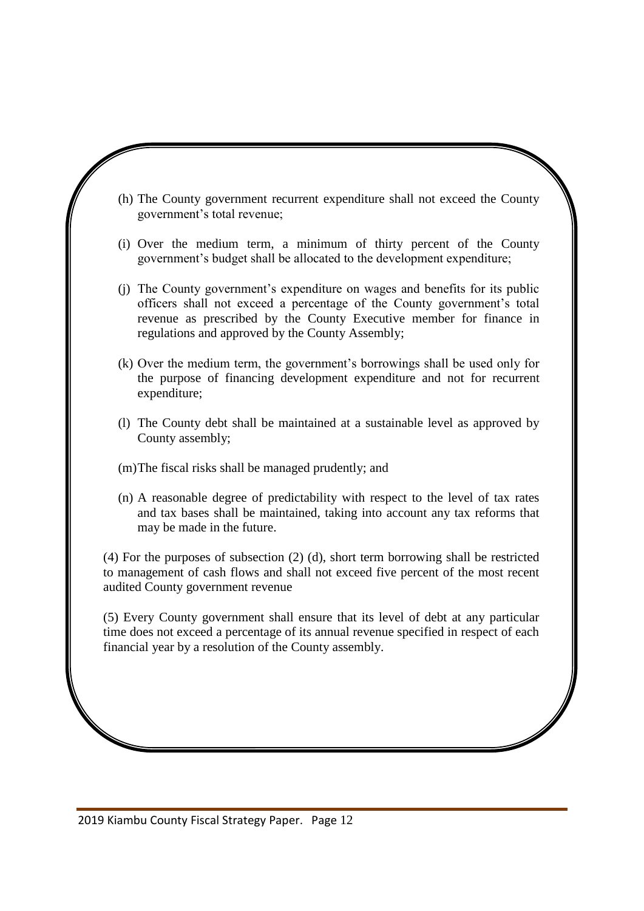- (h) The County government recurrent expenditure shall not exceed the County government's total revenue;
- (i) Over the medium term, a minimum of thirty percent of the County government's budget shall be allocated to the development expenditure;
- (j) The County government's expenditure on wages and benefits for its public officers shall not exceed a percentage of the County government's total revenue as prescribed by the County Executive member for finance in regulations and approved by the County Assembly;
- (k) Over the medium term, the government's borrowings shall be used only for the purpose of financing development expenditure and not for recurrent expenditure;
- (l) The County debt shall be maintained at a sustainable level as approved by County assembly;
- (m)The fiscal risks shall be managed prudently; and
- (n) A reasonable degree of predictability with respect to the level of tax rates and tax bases shall be maintained, taking into account any tax reforms that may be made in the future.

(4) For the purposes of subsection (2) (d), short term borrowing shall be restricted to management of cash flows and shall not exceed five percent of the most recent audited County government revenue

(5) Every County government shall ensure that its level of debt at any particular time does not exceed a percentage of its annual revenue specified in respect of each financial year by a resolution of the County assembly.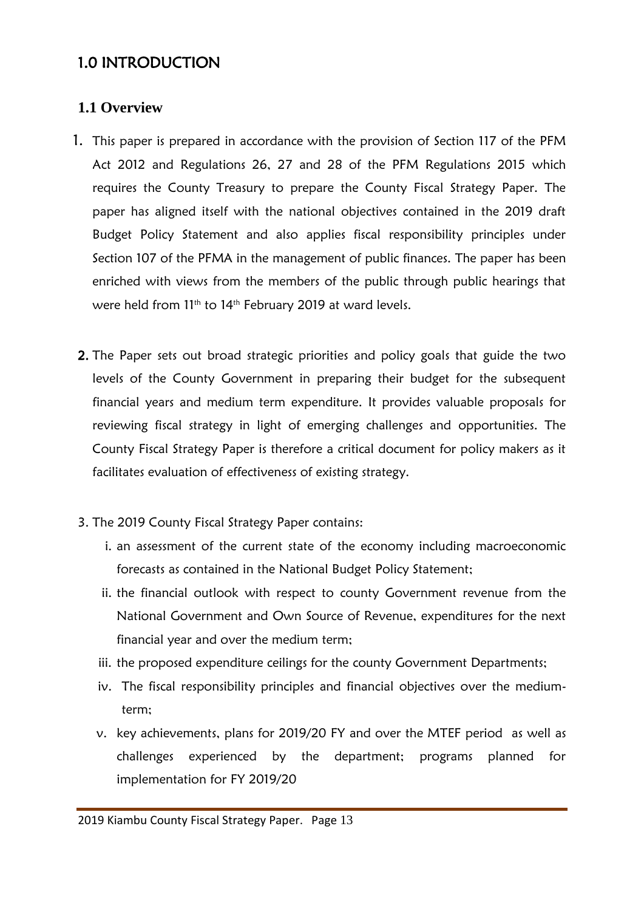## <span id="page-12-0"></span>1.0 INTRODUCTION

## <span id="page-12-1"></span>**1.1 Overview**

- 1. This paper is prepared in accordance with the provision of Section 117 of the PFM Act 2012 and Regulations 26, 27 and 28 of the PFM Regulations 2015 which requires the County Treasury to prepare the County Fiscal Strategy Paper. The paper has aligned itself with the national objectives contained in the 2019 draft Budget Policy Statement and also applies fiscal responsibility principles under Section 107 of the PFMA in the management of public finances. The paper has been enriched with views from the members of the public through public hearings that were held from 11<sup>th</sup> to 14<sup>th</sup> February 2019 at ward levels.
- 2. The Paper sets out broad strategic priorities and policy goals that guide the two levels of the County Government in preparing their budget for the subsequent financial years and medium term expenditure. It provides valuable proposals for reviewing fiscal strategy in light of emerging challenges and opportunities. The County Fiscal Strategy Paper is therefore a critical document for policy makers as it facilitates evaluation of effectiveness of existing strategy.
- 3. The 2019 County Fiscal Strategy Paper contains:
	- i. an assessment of the current state of the economy including macroeconomic forecasts as contained in the National Budget Policy Statement;
	- ii. the financial outlook with respect to county Government revenue from the National Government and Own Source of Revenue, expenditures for the next financial year and over the medium term;
	- iii. the proposed expenditure ceilings for the county Government Departments;
	- iv. The fiscal responsibility principles and financial objectives over the mediumterm;
	- v. key achievements, plans for 2019/20 FY and over the MTEF period as well as challenges experienced by the department; programs planned for implementation for FY 2019/20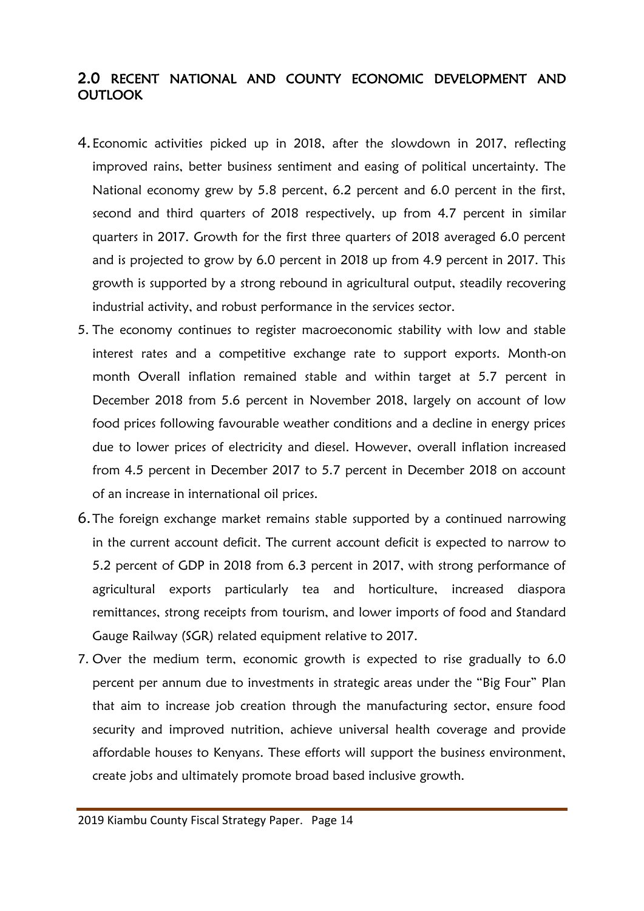#### <span id="page-13-0"></span>2.0 RECENT NATIONAL AND COUNTY ECONOMIC DEVELOPMENT AND **OUTLOOK**

- 4.Economic activities picked up in 2018, after the slowdown in 2017, reflecting improved rains, better business sentiment and easing of political uncertainty. The National economy grew by 5.8 percent, 6.2 percent and 6.0 percent in the first, second and third quarters of 2018 respectively, up from 4.7 percent in similar quarters in 2017. Growth for the first three quarters of 2018 averaged 6.0 percent and is projected to grow by 6.0 percent in 2018 up from 4.9 percent in 2017. This growth is supported by a strong rebound in agricultural output, steadily recovering industrial activity, and robust performance in the services sector.
- 5. The economy continues to register macroeconomic stability with low and stable interest rates and a competitive exchange rate to support exports. Month-on month Overall inflation remained stable and within target at 5.7 percent in December 2018 from 5.6 percent in November 2018, largely on account of low food prices following favourable weather conditions and a decline in energy prices due to lower prices of electricity and diesel. However, overall inflation increased from 4.5 percent in December 2017 to 5.7 percent in December 2018 on account of an increase in international oil prices.
- 6.The foreign exchange market remains stable supported by a continued narrowing in the current account deficit. The current account deficit is expected to narrow to 5.2 percent of GDP in 2018 from 6.3 percent in 2017, with strong performance of agricultural exports particularly tea and horticulture, increased diaspora remittances, strong receipts from tourism, and lower imports of food and Standard Gauge Railway (SGR) related equipment relative to 2017.
- 7. Over the medium term, economic growth is expected to rise gradually to 6.0 percent per annum due to investments in strategic areas under the "Big Four" Plan that aim to increase job creation through the manufacturing sector, ensure food security and improved nutrition, achieve universal health coverage and provide affordable houses to Kenyans. These efforts will support the business environment, create jobs and ultimately promote broad based inclusive growth.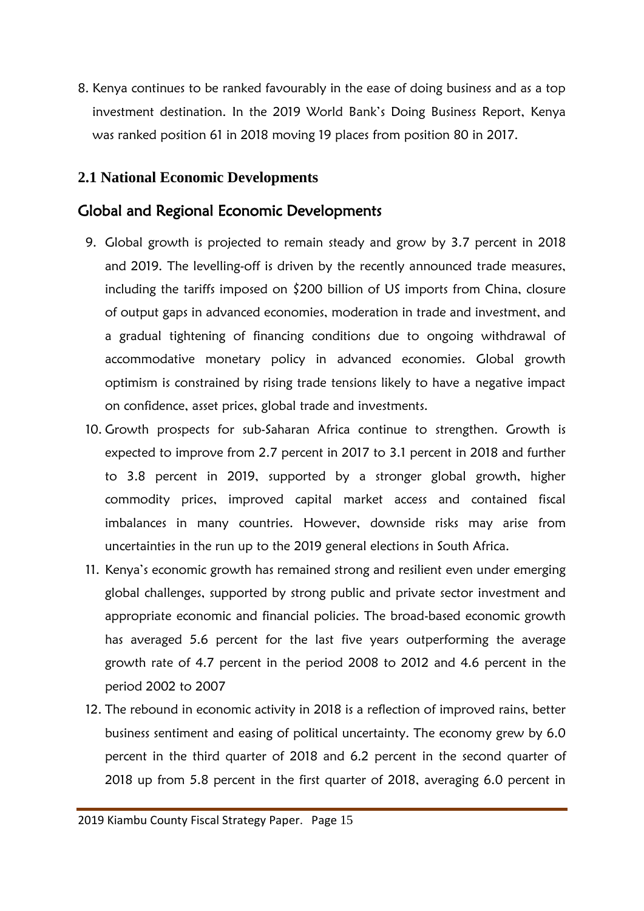8. Kenya continues to be ranked favourably in the ease of doing business and as a top investment destination. In the 2019 World Bank's Doing Business Report, Kenya was ranked position 61 in 2018 moving 19 places from position 80 in 2017.

#### <span id="page-14-0"></span>**2.1 National Economic Developments**

#### Global and Regional Economic Developments

- 9. Global growth is projected to remain steady and grow by 3.7 percent in 2018 and 2019. The levelling-off is driven by the recently announced trade measures, including the tariffs imposed on \$200 billion of US imports from China, closure of output gaps in advanced economies, moderation in trade and investment, and a gradual tightening of financing conditions due to ongoing withdrawal of accommodative monetary policy in advanced economies. Global growth optimism is constrained by rising trade tensions likely to have a negative impact on confidence, asset prices, global trade and investments.
- 10. Growth prospects for sub-Saharan Africa continue to strengthen. Growth is expected to improve from 2.7 percent in 2017 to 3.1 percent in 2018 and further to 3.8 percent in 2019, supported by a stronger global growth, higher commodity prices, improved capital market access and contained fiscal imbalances in many countries. However, downside risks may arise from uncertainties in the run up to the 2019 general elections in South Africa.
- 11. Kenya's economic growth has remained strong and resilient even under emerging global challenges, supported by strong public and private sector investment and appropriate economic and financial policies. The broad-based economic growth has averaged 5.6 percent for the last five years outperforming the average growth rate of 4.7 percent in the period 2008 to 2012 and 4.6 percent in the period 2002 to 2007
- 12. The rebound in economic activity in 2018 is a reflection of improved rains, better business sentiment and easing of political uncertainty. The economy grew by 6.0 percent in the third quarter of 2018 and 6.2 percent in the second quarter of 2018 up from 5.8 percent in the first quarter of 2018, averaging 6.0 percent in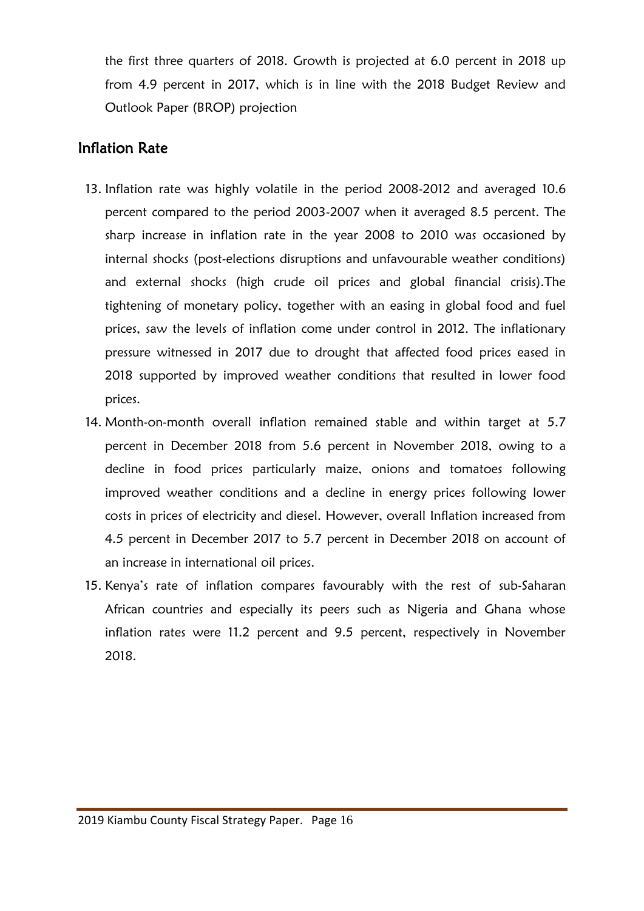the first three quarters of 2018. Growth is projected at 6.0 percent in 2018 up from 4.9 percent in 2017, which is in line with the 2018 Budget Review and Outlook Paper (BROP) projection

### Inflation Rate

- 13. Inflation rate was highly volatile in the period 2008-2012 and averaged 10.6 percent compared to the period 2003-2007 when it averaged 8.5 percent. The sharp increase in inflation rate in the year 2008 to 2010 was occasioned by internal shocks (post-elections disruptions and unfavourable weather conditions) and external shocks (high crude oil prices and global financial crisis).The tightening of monetary policy, together with an easing in global food and fuel prices, saw the levels of inflation come under control in 2012. The inflationary pressure witnessed in 2017 due to drought that affected food prices eased in 2018 supported by improved weather conditions that resulted in lower food prices.
- 14. Month-on-month overall inflation remained stable and within target at 5.7 percent in December 2018 from 5.6 percent in November 2018, owing to a decline in food prices particularly maize, onions and tomatoes following improved weather conditions and a decline in energy prices following lower costs in prices of electricity and diesel. However, overall Inflation increased from 4.5 percent in December 2017 to 5.7 percent in December 2018 on account of an increase in international oil prices.
- 15. Kenya's rate of inflation compares favourably with the rest of sub-Saharan African countries and especially its peers such as Nigeria and Ghana whose inflation rates were 11.2 percent and 9.5 percent, respectively in November 2018.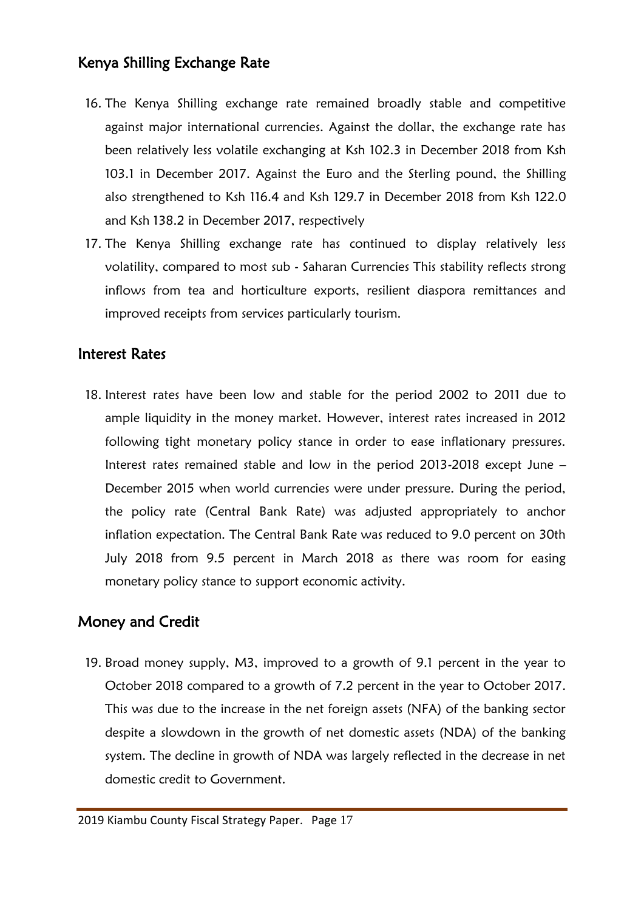## Kenya Shilling Exchange Rate

- 16. The Kenya Shilling exchange rate remained broadly stable and competitive against major international currencies. Against the dollar, the exchange rate has been relatively less volatile exchanging at Ksh 102.3 in December 2018 from Ksh 103.1 in December 2017. Against the Euro and the Sterling pound, the Shilling also strengthened to Ksh 116.4 and Ksh 129.7 in December 2018 from Ksh 122.0 and Ksh 138.2 in December 2017, respectively
- 17. The Kenya Shilling exchange rate has continued to display relatively less volatility, compared to most sub - Saharan Currencies This stability reflects strong inflows from tea and horticulture exports, resilient diaspora remittances and improved receipts from services particularly tourism.

## Interest Rates

18. Interest rates have been low and stable for the period 2002 to 2011 due to ample liquidity in the money market. However, interest rates increased in 2012 following tight monetary policy stance in order to ease inflationary pressures. Interest rates remained stable and low in the period 2013-2018 except June – December 2015 when world currencies were under pressure. During the period, the policy rate (Central Bank Rate) was adjusted appropriately to anchor inflation expectation. The Central Bank Rate was reduced to 9.0 percent on 30th July 2018 from 9.5 percent in March 2018 as there was room for easing monetary policy stance to support economic activity.

## Money and Credit

19. Broad money supply, M3, improved to a growth of 9.1 percent in the year to October 2018 compared to a growth of 7.2 percent in the year to October 2017. This was due to the increase in the net foreign assets (NFA) of the banking sector despite a slowdown in the growth of net domestic assets (NDA) of the banking system. The decline in growth of NDA was largely reflected in the decrease in net domestic credit to Government.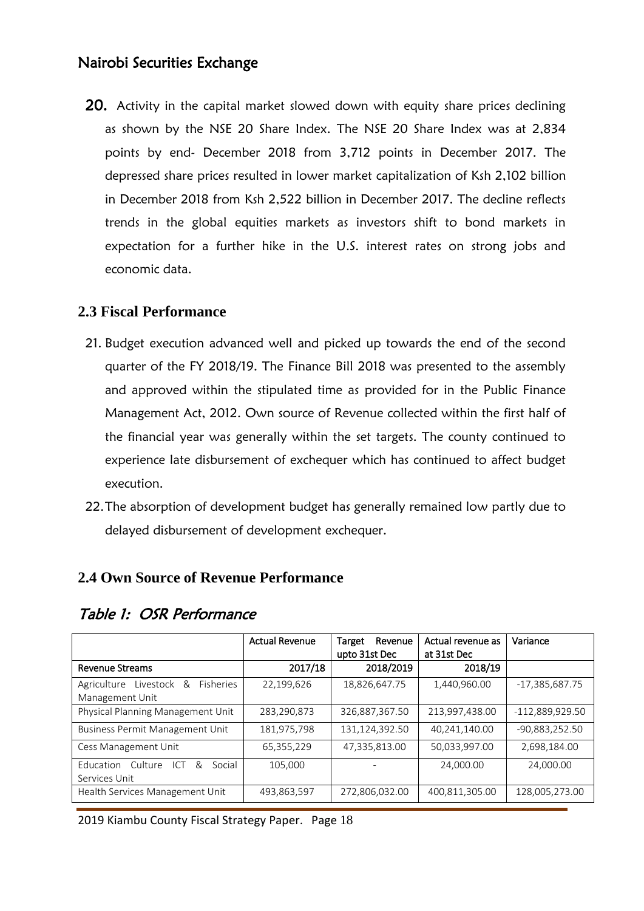## Nairobi Securities Exchange

**20.** Activity in the capital market slowed down with equity share prices declining as shown by the NSE 20 Share Index. The NSE 20 Share Index was at 2,834 points by end- December 2018 from 3,712 points in December 2017. The depressed share prices resulted in lower market capitalization of Ksh 2,102 billion in December 2018 from Ksh 2,522 billion in December 2017. The decline reflects trends in the global equities markets as investors shift to bond markets in expectation for a further hike in the U.S. interest rates on strong jobs and economic data.

#### <span id="page-17-0"></span>**2.3 Fiscal Performance**

- 21. Budget execution advanced well and picked up towards the end of the second quarter of the FY 2018/19. The Finance Bill 2018 was presented to the assembly and approved within the stipulated time as provided for in the Public Finance Management Act, 2012. Own source of Revenue collected within the first half of the financial year was generally within the set targets. The county continued to experience late disbursement of exchequer which has continued to affect budget execution.
- 22.The absorption of development budget has generally remained low partly due to delayed disbursement of development exchequer.

#### <span id="page-17-1"></span>**2.4 Own Source of Revenue Performance**

|                                                   | <b>Actual Revenue</b> | Revenue<br>Target<br>upto 31st Dec | Actual revenue as<br>at 31st Dec | Variance         |
|---------------------------------------------------|-----------------------|------------------------------------|----------------------------------|------------------|
|                                                   |                       |                                    |                                  |                  |
| <b>Revenue Streams</b>                            | 2017/18               | 2018/2019                          | 2018/19                          |                  |
| <b>Fisheries</b><br>Agriculture<br>Livestock<br>& | 22,199,626            | 18,826,647.75                      | 1,440,960.00                     | $-17,385,687.75$ |
| Management Unit                                   |                       |                                    |                                  |                  |
| Physical Planning Management Unit                 | 283,290,873           | 326,887,367.50                     | 213,997,438.00                   | -112,889,929.50  |
| <b>Business Permit Management Unit</b>            | 181,975,798           | 131,124,392.50                     | 40,241,140.00                    | $-90,883,252.50$ |
| Cess Management Unit                              | 65,355,229            | 47,335,813.00                      | 50,033,997.00                    | 2,698,184.00     |
| Culture<br>Social<br>Education<br>&<br>ICT        | 105.000               |                                    | 24,000.00                        | 24,000.00        |
| Services Unit                                     |                       |                                    |                                  |                  |
| Health Services Management Unit                   | 493,863,597           | 272,806,032.00                     | 400,811,305.00                   | 128,005,273.00   |

## <span id="page-17-2"></span>Table 1: OSR Performance

2019 Kiambu County Fiscal Strategy Paper. Page 18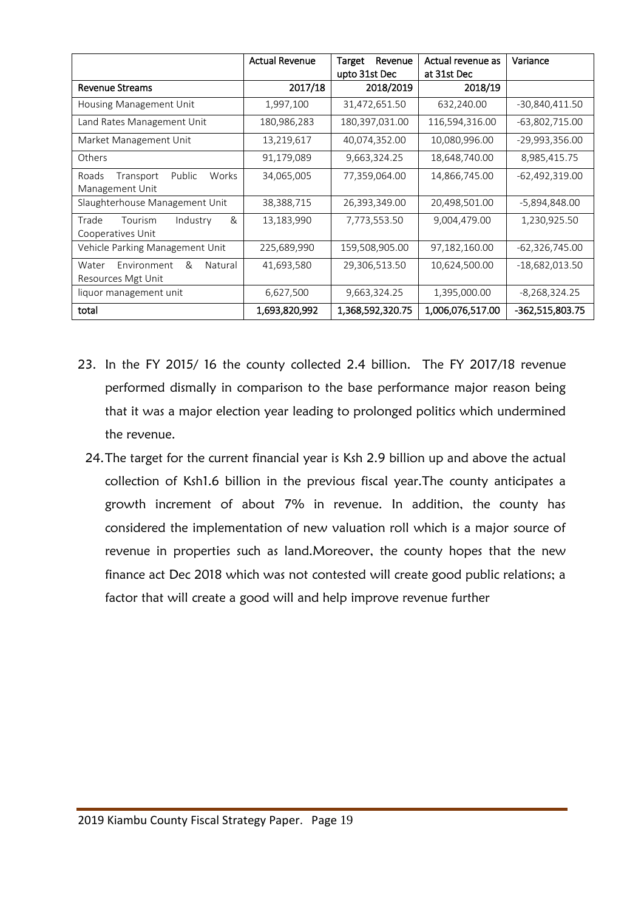|                                                            | <b>Actual Revenue</b> | Revenue<br>Target<br>upto 31st Dec | Actual revenue as<br>at 31st Dec | Variance         |
|------------------------------------------------------------|-----------------------|------------------------------------|----------------------------------|------------------|
| <b>Revenue Streams</b>                                     | 2017/18               | 2018/2019                          | 2018/19                          |                  |
| Housing Management Unit                                    | 1,997,100             | 31,472,651.50                      | 632,240.00                       | -30,840,411.50   |
| Land Rates Management Unit                                 | 180,986,283           | 180,397,031.00                     | 116,594,316.00                   | -63,802,715.00   |
| Market Management Unit                                     | 13,219,617            | 40,074,352.00                      | 10,080,996.00                    | -29,993,356.00   |
| <b>Others</b>                                              | 91,179,089            | 9,663,324.25                       | 18,648,740.00                    | 8,985,415.75     |
| Public<br>Works<br>Roads<br>Transport<br>Management Unit   | 34,065,005            | 77,359,064.00                      | 14,866,745.00                    | $-62,492,319.00$ |
| Slaughterhouse Management Unit                             | 38,388,715            | 26,393,349.00                      | 20,498,501.00                    | -5,894,848.00    |
| &<br>Trade<br>Industry<br>Tourism<br>Cooperatives Unit     | 13,183,990            | 7,773,553.50                       | 9,004,479.00                     | 1,230,925.50     |
| Vehicle Parking Management Unit                            | 225,689,990           | 159,508,905.00                     | 97,182,160.00                    | $-62,326,745.00$ |
| &<br>Water<br>Environment<br>Natural<br>Resources Mgt Unit | 41,693,580            | 29,306,513.50                      | 10,624,500.00                    | $-18,682,013.50$ |
| liquor management unit                                     | 6,627,500             | 9,663,324.25                       | 1,395,000.00                     | $-8,268,324.25$  |
| total                                                      | 1,693,820,992         | 1,368,592,320.75                   | 1,006,076,517.00                 | -362,515,803.75  |

- 23. In the FY 2015/ 16 the county collected 2.4 billion. The FY 2017/18 revenue performed dismally in comparison to the base performance major reason being that it was a major election year leading to prolonged politics which undermined the revenue.
	- 24.The target for the current financial year is Ksh 2.9 billion up and above the actual collection of Ksh1.6 billion in the previous fiscal year.The county anticipates a growth increment of about 7% in revenue. In addition, the county has considered the implementation of new valuation roll which is a major source of revenue in properties such as land.Moreover, the county hopes that the new finance act Dec 2018 which was not contested will create good public relations; a factor that will create a good will and help improve revenue further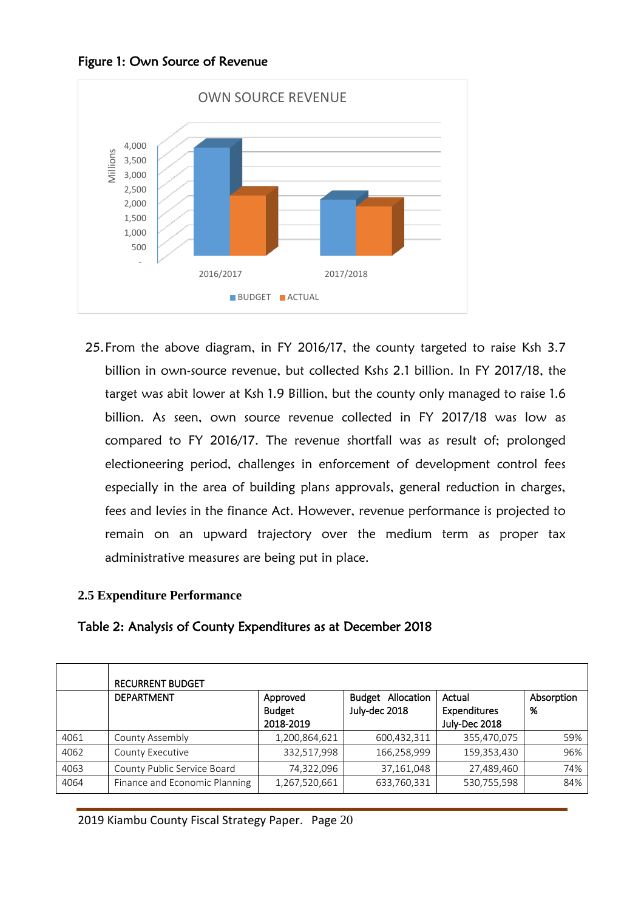<span id="page-19-2"></span>



25.From the above diagram, in FY 2016/17, the county targeted to raise Ksh 3.7 billion in own-source revenue, but collected Kshs 2.1 billion. In FY 2017/18, the target was abit lower at Ksh 1.9 Billion, but the county only managed to raise 1.6 billion. As seen, own source revenue collected in FY 2017/18 was low as compared to FY 2016/17. The revenue shortfall was as result of; prolonged electioneering period, challenges in enforcement of development control fees especially in the area of building plans approvals, general reduction in charges, fees and levies in the finance Act. However, revenue performance is projected to remain on an upward trajectory over the medium term as proper tax administrative measures are being put in place.

#### <span id="page-19-0"></span>**2.5 Expenditure Performance**

<span id="page-19-1"></span>

| Table 2: Analysis of County Expenditures as at December 2018 |
|--------------------------------------------------------------|
|--------------------------------------------------------------|

|      | <b>RECURRENT BUDGET</b>       |                                        |                                           |                                                |                 |  |
|------|-------------------------------|----------------------------------------|-------------------------------------------|------------------------------------------------|-----------------|--|
|      | <b>DEPARTMENT</b>             | Approved<br><b>Budget</b><br>2018-2019 | <b>Budget Allocation</b><br>July-dec 2018 | Actual<br><b>Expenditures</b><br>July-Dec 2018 | Absorption<br>% |  |
| 4061 | County Assembly               | 1,200,864,621                          | 600,432,311                               | 355,470,075                                    | 59%             |  |
| 4062 | County Executive              | 332,517,998                            | 166,258,999                               | 159,353,430                                    | 96%             |  |
| 4063 | County Public Service Board   | 74,322,096                             | 37,161,048                                | 27,489,460                                     | 74%             |  |
| 4064 | Finance and Economic Planning | 1,267,520,661                          | 633,760,331                               | 530,755,598                                    | 84%             |  |

2019 Kiambu County Fiscal Strategy Paper. Page 20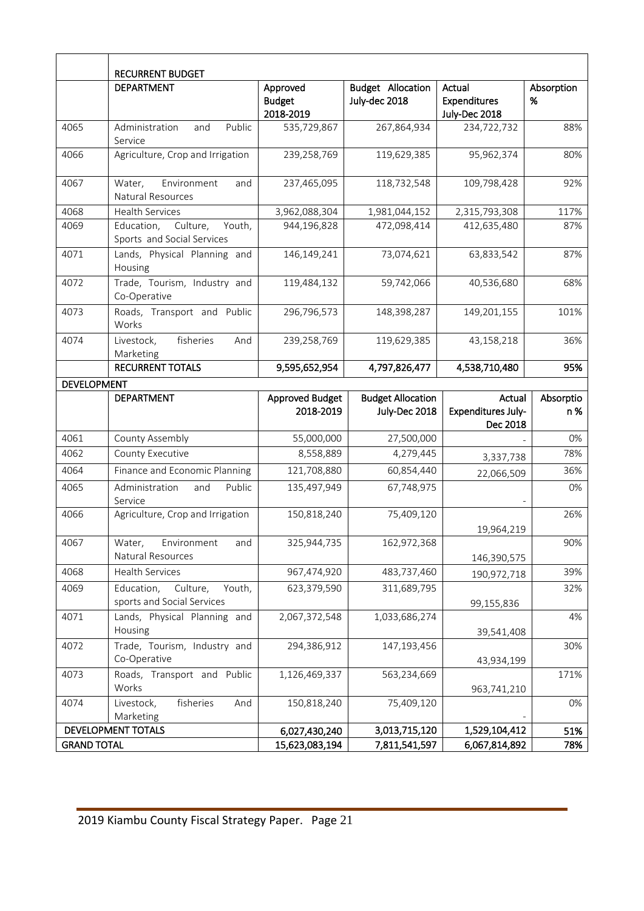|                    | <b>RECURRENT BUDGET</b>                                        |                                        |                                           |                                                |                 |  |
|--------------------|----------------------------------------------------------------|----------------------------------------|-------------------------------------------|------------------------------------------------|-----------------|--|
|                    | <b>DEPARTMENT</b>                                              | Approved<br><b>Budget</b><br>2018-2019 | <b>Budget Allocation</b><br>July-dec 2018 | Actual<br><b>Expenditures</b><br>July-Dec 2018 | Absorption<br>% |  |
| 4065               | Public<br>Administration<br>and<br>Service                     | 535,729,867                            | 267,864,934                               | 234,722,732                                    | 88%             |  |
| 4066               | Agriculture, Crop and Irrigation                               | 239,258,769                            | 119,629,385                               | 95,962,374                                     | 80%             |  |
| 4067               | Environment<br>Water.<br>and<br>Natural Resources              | 237,465,095                            | 118,732,548                               | 109,798,428                                    | 92%             |  |
| 4068               | <b>Health Services</b>                                         | 3,962,088,304                          | 1,981,044,152                             | 2,315,793,308                                  | 117%            |  |
| 4069               | Culture,<br>Education,<br>Youth,<br>Sports and Social Services | 944,196,828                            | 472,098,414                               | 412,635,480                                    | 87%             |  |
| 4071               | Lands, Physical Planning and<br>Housing                        | 146,149,241                            | 73,074,621                                | 63,833,542                                     | 87%             |  |
| 4072               | Trade, Tourism, Industry and<br>Co-Operative                   | 119,484,132                            | 59,742,066                                | 40,536,680                                     | 68%             |  |
| 4073               | Roads, Transport and Public<br>Works                           | 296,796,573                            | 148,398,287                               | 149,201,155                                    | 101%            |  |
| 4074               | Livestock,<br>fisheries<br>And<br>Marketing                    | 239,258,769                            | 119,629,385                               | 43,158,218                                     | 36%             |  |
|                    | <b>RECURRENT TOTALS</b>                                        | 9,595,652,954                          | 4,797,826,477                             | 4,538,710,480                                  | 95%             |  |
| <b>DEVELOPMENT</b> |                                                                |                                        |                                           |                                                |                 |  |
|                    | <b>DEPARTMENT</b>                                              | <b>Approved Budget</b>                 | <b>Budget Allocation</b>                  | Actual                                         | Absorptio       |  |
|                    |                                                                | 2018-2019                              | July-Dec 2018                             | Expenditures July-<br>Dec 2018                 | n %             |  |
| 4061               | County Assembly                                                | 55,000,000                             | 27,500,000                                |                                                | 0%              |  |
| 4062               | County Executive                                               | 8,558,889                              | 4,279,445                                 | 3,337,738                                      | 78%             |  |
| 4064               | Finance and Economic Planning                                  | 121,708,880                            | 60,854,440                                | 22,066,509                                     | 36%             |  |
| 4065               | Administration<br>Public<br>and<br>Service                     | 135,497,949                            | 67,748,975                                |                                                | 0%              |  |
| 4066               | Agriculture, Crop and Irrigation                               | 150,818,240                            | 75,409,120                                | 19,964,219                                     | 26%             |  |
| 4067               | Water,<br>Environment<br>and<br>Natural Resources              | 325,944,735                            | 162,972,368                               | 146,390,575                                    | 90%             |  |
| 4068               | <b>Health Services</b>                                         | 967,474,920                            | 483,737,460                               | 190,972,718                                    | 39%             |  |
| 4069               | Education,<br>Culture,<br>Youth,<br>sports and Social Services | 623,379,590                            | 311,689,795                               | 99,155,836                                     | 32%             |  |
| 4071               | Lands, Physical Planning and<br>Housing                        | 2,067,372,548                          | 1,033,686,274                             | 39,541,408                                     | 4%              |  |
| 4072               | Trade, Tourism, Industry and<br>Co-Operative                   | 294,386,912                            | 147,193,456                               | 43,934,199                                     | 30%             |  |
| 4073               | Roads, Transport and Public<br>Works                           | 1,126,469,337                          | 563,234,669                               | 963,741,210                                    | 171%            |  |
| 4074               | Livestock,<br>fisheries<br>And<br>Marketing                    | 150,818,240                            | 75,409,120                                |                                                | 0%              |  |
|                    | DEVELOPMENT TOTALS                                             | 6,027,430,240                          | 3,013,715,120                             | 1,529,104,412                                  | 51%             |  |
| <b>GRAND TOTAL</b> |                                                                | 15,623,083,194                         | 7,811,541,597                             | 6,067,814,892                                  | 78%             |  |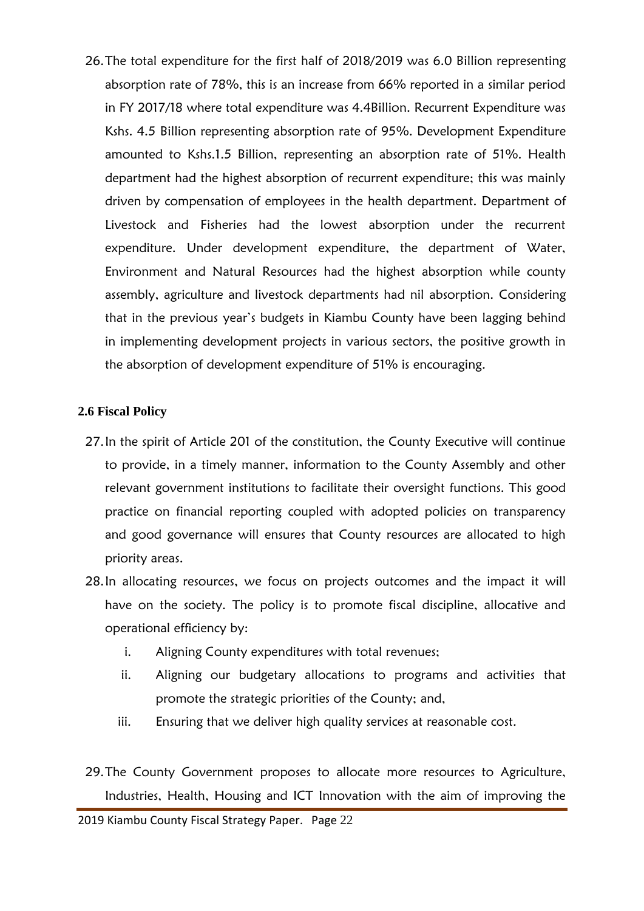26.The total expenditure for the first half of 2018/2019 was 6.0 Billion representing absorption rate of 78%, this is an increase from 66% reported in a similar period in FY 2017/18 where total expenditure was 4.4Billion. Recurrent Expenditure was Kshs. 4.5 Billion representing absorption rate of 95%. Development Expenditure amounted to Kshs.1.5 Billion, representing an absorption rate of 51%. Health department had the highest absorption of recurrent expenditure; this was mainly driven by compensation of employees in the health department. Department of Livestock and Fisheries had the lowest absorption under the recurrent expenditure. Under development expenditure, the department of Water, Environment and Natural Resources had the highest absorption while county assembly, agriculture and livestock departments had nil absorption. Considering that in the previous year's budgets in Kiambu County have been lagging behind in implementing development projects in various sectors, the positive growth in the absorption of development expenditure of 51% is encouraging.

#### <span id="page-21-0"></span>**2.6 Fiscal Policy**

- 27.In the spirit of Article 201 of the constitution, the County Executive will continue to provide, in a timely manner, information to the County Assembly and other relevant government institutions to facilitate their oversight functions. This good practice on financial reporting coupled with adopted policies on transparency and good governance will ensures that County resources are allocated to high priority areas.
- 28.In allocating resources, we focus on projects outcomes and the impact it will have on the society. The policy is to promote fiscal discipline, allocative and operational efficiency by:
	- i. Aligning County expenditures with total revenues;
	- ii. Aligning our budgetary allocations to programs and activities that promote the strategic priorities of the County; and,
	- iii. Ensuring that we deliver high quality services at reasonable cost.
- 29.The County Government proposes to allocate more resources to Agriculture, Industries, Health, Housing and ICT Innovation with the aim of improving the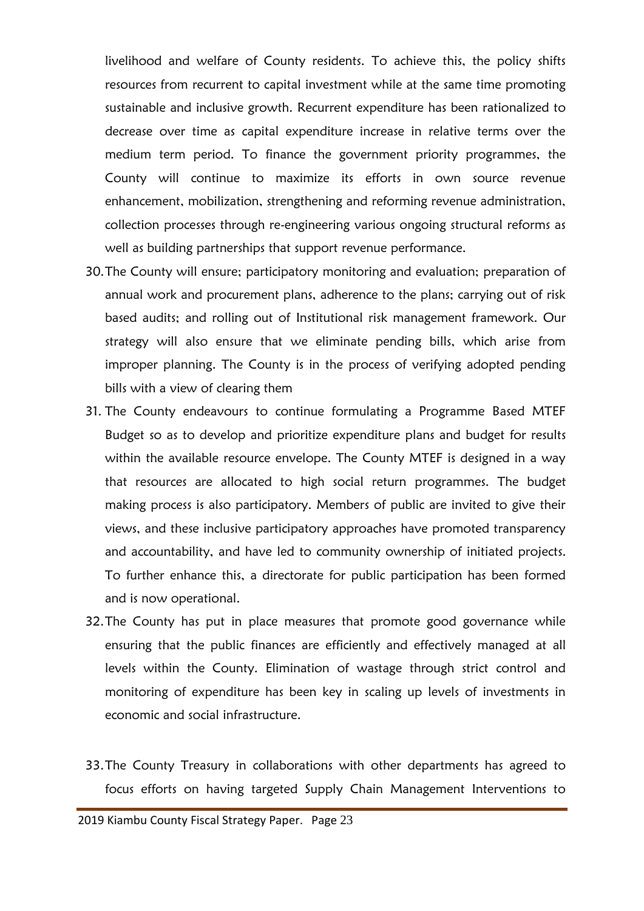livelihood and welfare of County residents. To achieve this, the policy shifts resources from recurrent to capital investment while at the same time promoting sustainable and inclusive growth. Recurrent expenditure has been rationalized to decrease over time as capital expenditure increase in relative terms over the medium term period. To finance the government priority programmes, the County will continue to maximize its efforts in own source revenue enhancement, mobilization, strengthening and reforming revenue administration, collection processes through re-engineering various ongoing structural reforms as well as building partnerships that support revenue performance.

- 30.The County will ensure; participatory monitoring and evaluation; preparation of annual work and procurement plans, adherence to the plans; carrying out of risk based audits; and rolling out of Institutional risk management framework. Our strategy will also ensure that we eliminate pending bills, which arise from improper planning. The County is in the process of verifying adopted pending bills with a view of clearing them
- 31. The County endeavours to continue formulating a Programme Based MTEF Budget so as to develop and prioritize expenditure plans and budget for results within the available resource envelope. The County MTEF is designed in a way that resources are allocated to high social return programmes. The budget making process is also participatory. Members of public are invited to give their views, and these inclusive participatory approaches have promoted transparency and accountability, and have led to community ownership of initiated projects. To further enhance this, a directorate for public participation has been formed and is now operational.
- 32.The County has put in place measures that promote good governance while ensuring that the public finances are efficiently and effectively managed at all levels within the County. Elimination of wastage through strict control and monitoring of expenditure has been key in scaling up levels of investments in economic and social infrastructure.
- 33.The County Treasury in collaborations with other departments has agreed to focus efforts on having targeted Supply Chain Management Interventions to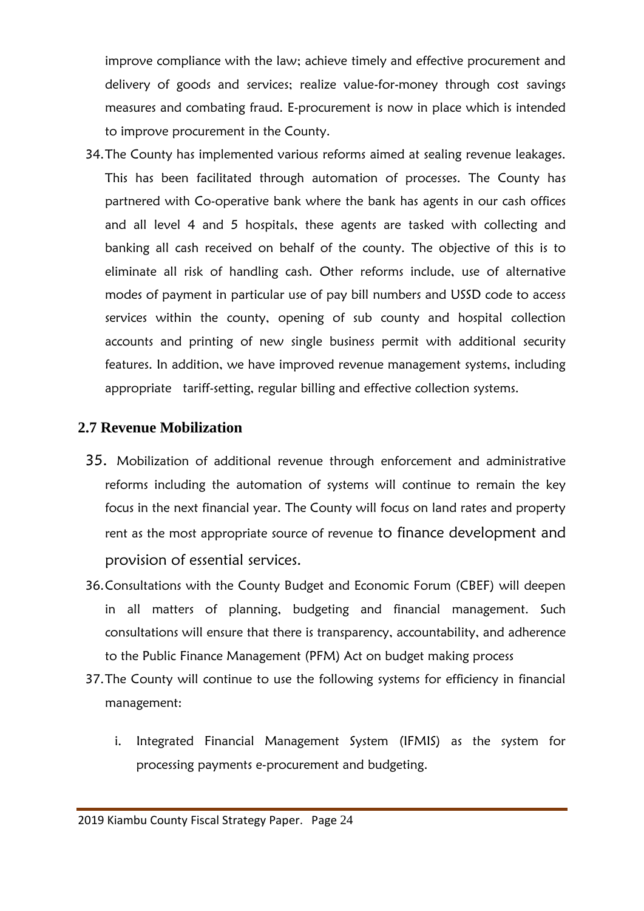improve compliance with the law; achieve timely and effective procurement and delivery of goods and services; realize value-for-money through cost savings measures and combating fraud. E-procurement is now in place which is intended to improve procurement in the County.

34.The County has implemented various reforms aimed at sealing revenue leakages. This has been facilitated through automation of processes. The County has partnered with Co-operative bank where the bank has agents in our cash offices and all level 4 and 5 hospitals, these agents are tasked with collecting and banking all cash received on behalf of the county. The objective of this is to eliminate all risk of handling cash. Other reforms include, use of alternative modes of payment in particular use of pay bill numbers and USSD code to access services within the county, opening of sub county and hospital collection accounts and printing of new single business permit with additional security features. In addition, we have improved revenue management systems, including appropriate tariff-setting, regular billing and effective collection systems.

#### <span id="page-23-0"></span>**2.7 Revenue Mobilization**

- 35. Mobilization of additional revenue through enforcement and administrative reforms including the automation of systems will continue to remain the key focus in the next financial year. The County will focus on land rates and property rent as the most appropriate source of revenue to finance development and provision of essential services.
- 36.Consultations with the County Budget and Economic Forum (CBEF) will deepen in all matters of planning, budgeting and financial management. Such consultations will ensure that there is transparency, accountability, and adherence to the Public Finance Management (PFM) Act on budget making process
- 37.The County will continue to use the following systems for efficiency in financial management:
	- i. Integrated Financial Management System (IFMIS) as the system for processing payments e-procurement and budgeting.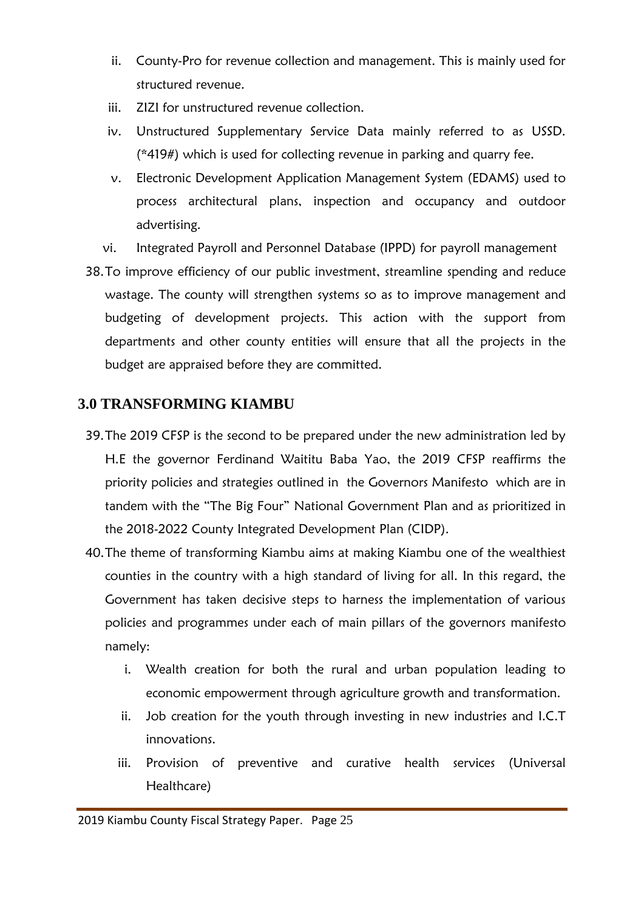- ii. County-Pro for revenue collection and management. This is mainly used for structured revenue.
- iii. ZIZI for unstructured revenue collection.
- iv. Unstructured Supplementary Service Data mainly referred to as USSD. (\*419#) which is used for collecting revenue in parking and quarry fee.
- v. Electronic Development Application Management System (EDAMS) used to process architectural plans, inspection and occupancy and outdoor advertising.
- vi. Integrated Payroll and Personnel Database (IPPD) for payroll management
- 38.To improve efficiency of our public investment, streamline spending and reduce wastage. The county will strengthen systems so as to improve management and budgeting of development projects. This action with the support from departments and other county entities will ensure that all the projects in the budget are appraised before they are committed.

## <span id="page-24-0"></span>**3.0 TRANSFORMING KIAMBU**

- 39.The 2019 CFSP is the second to be prepared under the new administration led by H.E the governor Ferdinand Waititu Baba Yao, the 2019 CFSP reaffirms the priority policies and strategies outlined in the Governors Manifesto which are in tandem with the "The Big Four" National Government Plan and as prioritized in the 2018-2022 County Integrated Development Plan (CIDP).
- 40.The theme of transforming Kiambu aims at making Kiambu one of the wealthiest counties in the country with a high standard of living for all. In this regard, the Government has taken decisive steps to harness the implementation of various policies and programmes under each of main pillars of the governors manifesto namely:
	- i. Wealth creation for both the rural and urban population leading to economic empowerment through agriculture growth and transformation.
	- ii. Job creation for the youth through investing in new industries and I.C.T innovations.
	- iii. Provision of preventive and curative health services (Universal Healthcare)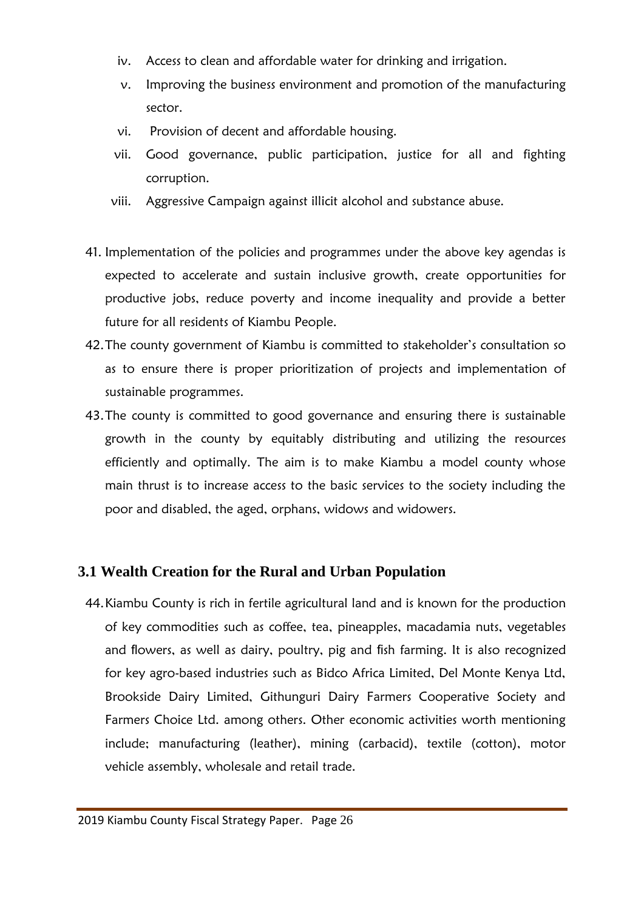- iv. Access to clean and affordable water for drinking and irrigation.
- v. Improving the business environment and promotion of the manufacturing sector.
- vi. Provision of decent and affordable housing.
- vii. Good governance, public participation, justice for all and fighting corruption.
- viii. Aggressive Campaign against illicit alcohol and substance abuse.
- 41. Implementation of the policies and programmes under the above key agendas is expected to accelerate and sustain inclusive growth, create opportunities for productive jobs, reduce poverty and income inequality and provide a better future for all residents of Kiambu People.
- 42.The county government of Kiambu is committed to stakeholder's consultation so as to ensure there is proper prioritization of projects and implementation of sustainable programmes.
- 43.The county is committed to good governance and ensuring there is sustainable growth in the county by equitably distributing and utilizing the resources efficiently and optimally. The aim is to make Kiambu a model county whose main thrust is to increase access to the basic services to the society including the poor and disabled, the aged, orphans, widows and widowers.

## <span id="page-25-0"></span>**3.1 Wealth Creation for the Rural and Urban Population**

44.Kiambu County is rich in fertile agricultural land and is known for the production of key commodities such as coffee, tea, pineapples, macadamia nuts, vegetables and flowers, as well as dairy, poultry, pig and fish farming. It is also recognized for key agro-based industries such as Bidco Africa Limited, Del Monte Kenya Ltd, Brookside Dairy Limited, Githunguri Dairy Farmers Cooperative Society and Farmers Choice Ltd. among others. Other economic activities worth mentioning include; manufacturing (leather), mining (carbacid), textile (cotton), motor vehicle assembly, wholesale and retail trade.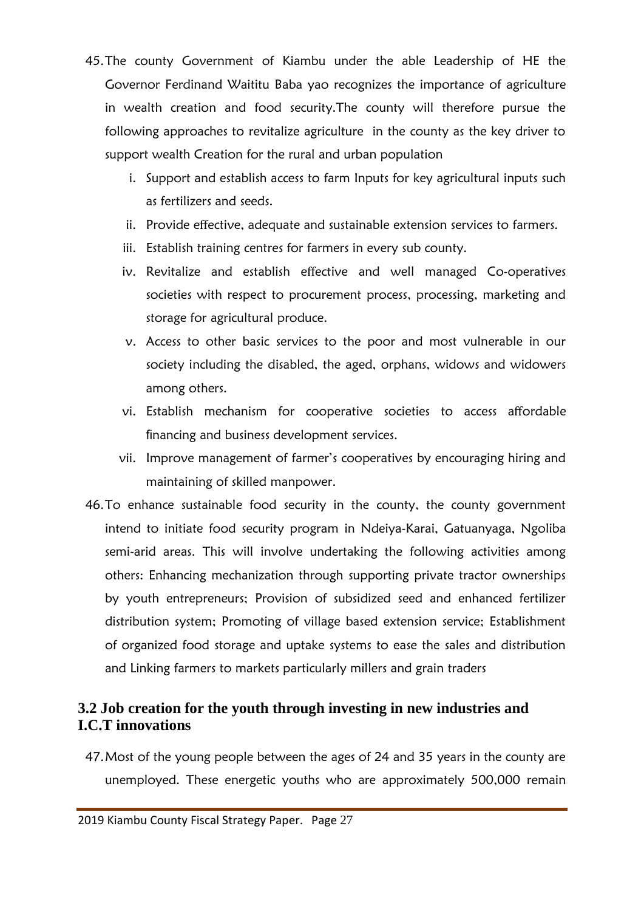- 45.The county Government of Kiambu under the able Leadership of HE the Governor Ferdinand Waititu Baba yao recognizes the importance of agriculture in wealth creation and food security.The county will therefore pursue the following approaches to revitalize agriculture in the county as the key driver to support wealth Creation for the rural and urban population
	- i. Support and establish access to farm Inputs for key agricultural inputs such as fertilizers and seeds.
	- ii. Provide effective, adequate and sustainable extension services to farmers.
	- iii. Establish training centres for farmers in every sub county.
	- iv. Revitalize and establish effective and well managed Co-operatives societies with respect to procurement process, processing, marketing and storage for agricultural produce.
	- v. Access to other basic services to the poor and most vulnerable in our society including the disabled, the aged, orphans, widows and widowers among others.
	- vi. Establish mechanism for cooperative societies to access affordable financing and business development services.
	- vii. Improve management of farmer's cooperatives by encouraging hiring and maintaining of skilled manpower.
- 46.To enhance sustainable food security in the county, the county government intend to initiate food security program in Ndeiya-Karai, Gatuanyaga, Ngoliba semi-arid areas. This will involve undertaking the following activities among others: Enhancing mechanization through supporting private tractor ownerships by youth entrepreneurs; Provision of subsidized seed and enhanced fertilizer distribution system; Promoting of village based extension service; Establishment of organized food storage and uptake systems to ease the sales and distribution and Linking farmers to markets particularly millers and grain traders

## <span id="page-26-0"></span>**3.2 Job creation for the youth through investing in new industries and I.C.T innovations**

47.Most of the young people between the ages of 24 and 35 years in the county are unemployed. These energetic youths who are approximately 500,000 remain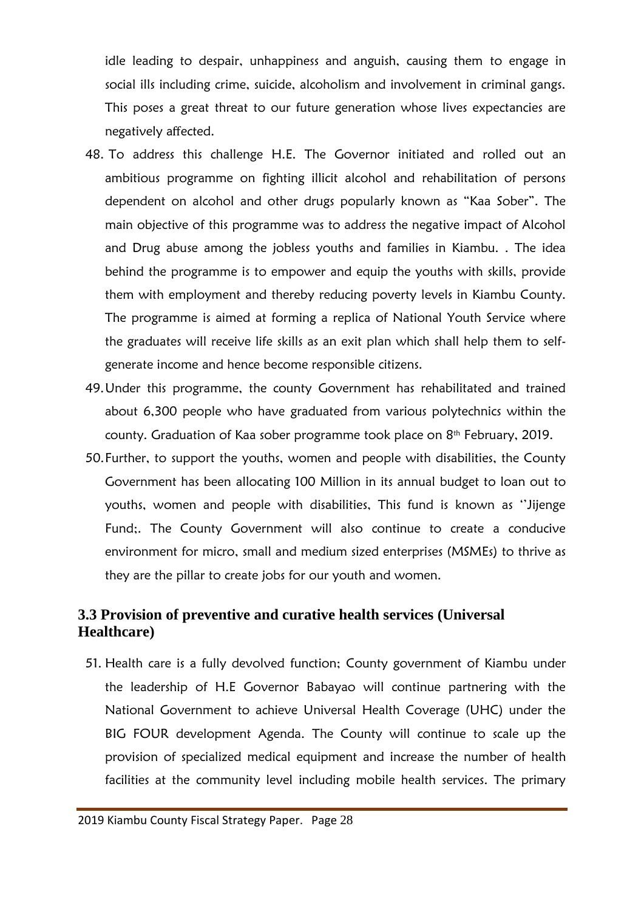idle leading to despair, unhappiness and anguish, causing them to engage in social ills including crime, suicide, alcoholism and involvement in criminal gangs. This poses a great threat to our future generation whose lives expectancies are negatively affected.

- 48. To address this challenge H.E. The Governor initiated and rolled out an ambitious programme on fighting illicit alcohol and rehabilitation of persons dependent on alcohol and other drugs popularly known as "Kaa Sober". The main objective of this programme was to address the negative impact of Alcohol and Drug abuse among the jobless youths and families in Kiambu. . The idea behind the programme is to empower and equip the youths with skills, provide them with employment and thereby reducing poverty levels in Kiambu County. The programme is aimed at forming a replica of National Youth Service where the graduates will receive life skills as an exit plan which shall help them to selfgenerate income and hence become responsible citizens.
- 49.Under this programme, the county Government has rehabilitated and trained about 6,300 people who have graduated from various polytechnics within the county. Graduation of Kaa sober programme took place on 8th February, 2019.
- 50.Further, to support the youths, women and people with disabilities, the County Government has been allocating 100 Million in its annual budget to loan out to youths, women and people with disabilities, This fund is known as ''Jijenge Fund;. The County Government will also continue to create a conducive environment for micro, small and medium sized enterprises (MSMEs) to thrive as they are the pillar to create jobs for our youth and women.

#### <span id="page-27-0"></span>**3.3 Provision of preventive and curative health services (Universal Healthcare)**

51. Health care is a fully devolved function; County government of Kiambu under the leadership of H.E Governor Babayao will continue partnering with the National Government to achieve Universal Health Coverage (UHC) under the BIG FOUR development Agenda. The County will continue to scale up the provision of specialized medical equipment and increase the number of health facilities at the community level including mobile health services. The primary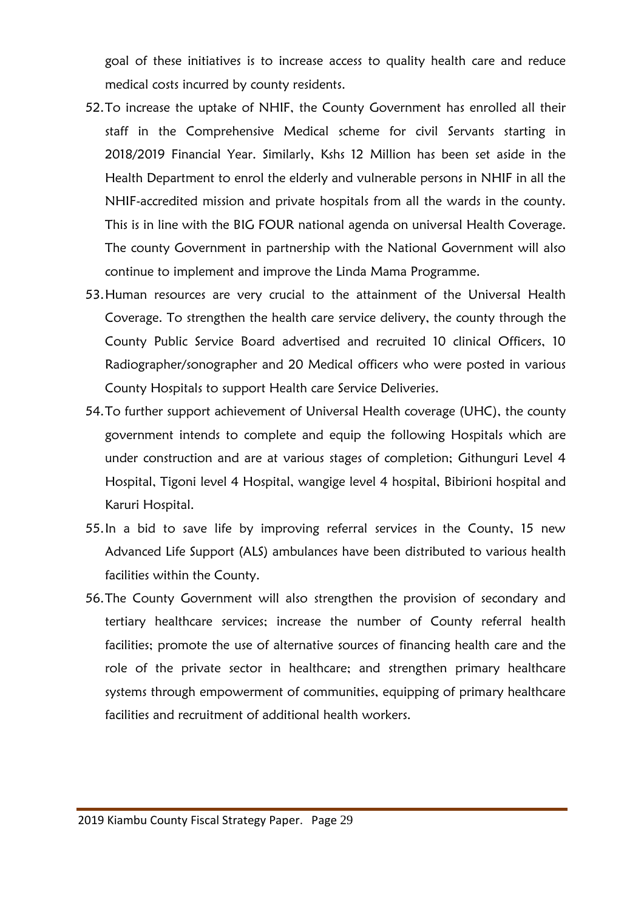goal of these initiatives is to increase access to quality health care and reduce medical costs incurred by county residents.

- 52.To increase the uptake of NHIF, the County Government has enrolled all their staff in the Comprehensive Medical scheme for civil Servants starting in 2018/2019 Financial Year. Similarly, Kshs 12 Million has been set aside in the Health Department to enrol the elderly and vulnerable persons in NHIF in all the NHIF-accredited mission and private hospitals from all the wards in the county. This is in line with the BIG FOUR national agenda on universal Health Coverage. The county Government in partnership with the National Government will also continue to implement and improve the Linda Mama Programme.
- 53.Human resources are very crucial to the attainment of the Universal Health Coverage. To strengthen the health care service delivery, the county through the County Public Service Board advertised and recruited 10 clinical Officers, 10 Radiographer/sonographer and 20 Medical officers who were posted in various County Hospitals to support Health care Service Deliveries.
- 54.To further support achievement of Universal Health coverage (UHC), the county government intends to complete and equip the following Hospitals which are under construction and are at various stages of completion; Githunguri Level 4 Hospital, Tigoni level 4 Hospital, wangige level 4 hospital, Bibirioni hospital and Karuri Hospital.
- 55.In a bid to save life by improving referral services in the County, 15 new Advanced Life Support (ALS) ambulances have been distributed to various health facilities within the County.
- 56.The County Government will also strengthen the provision of secondary and tertiary healthcare services; increase the number of County referral health facilities; promote the use of alternative sources of financing health care and the role of the private sector in healthcare; and strengthen primary healthcare systems through empowerment of communities, equipping of primary healthcare facilities and recruitment of additional health workers.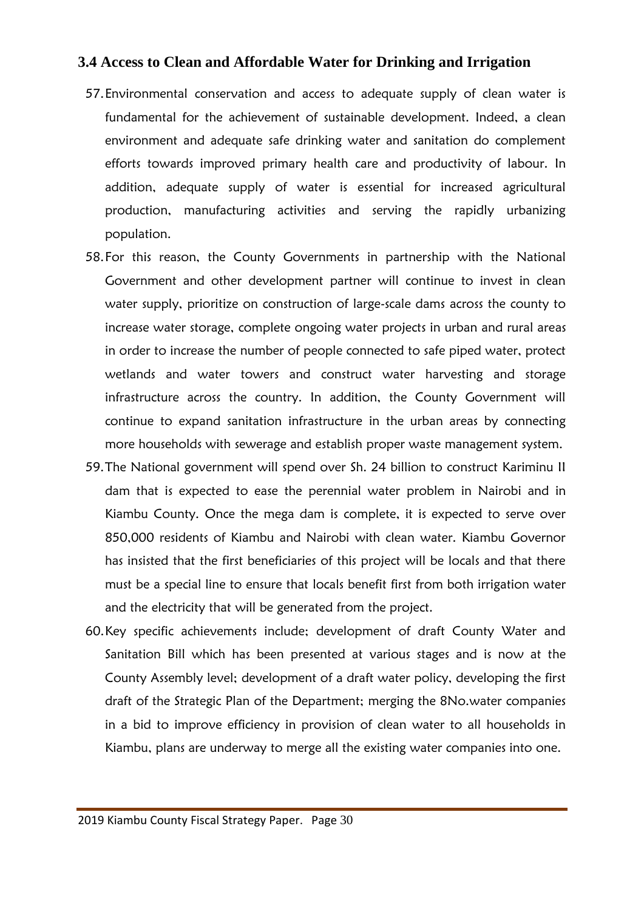#### <span id="page-29-0"></span>**3.4 Access to Clean and Affordable Water for Drinking and Irrigation**

- 57.Environmental conservation and access to adequate supply of clean water is fundamental for the achievement of sustainable development. Indeed, a clean environment and adequate safe drinking water and sanitation do complement efforts towards improved primary health care and productivity of labour. In addition, adequate supply of water is essential for increased agricultural production, manufacturing activities and serving the rapidly urbanizing population.
- 58.For this reason, the County Governments in partnership with the National Government and other development partner will continue to invest in clean water supply, prioritize on construction of large-scale dams across the county to increase water storage, complete ongoing water projects in urban and rural areas in order to increase the number of people connected to safe piped water, protect wetlands and water towers and construct water harvesting and storage infrastructure across the country. In addition, the County Government will continue to expand sanitation infrastructure in the urban areas by connecting more households with sewerage and establish proper waste management system.
- 59.The National government will spend over Sh. 24 billion to construct Kariminu II dam that is expected to ease the perennial water problem in Nairobi and in Kiambu County. Once the mega dam is complete, it is expected to serve over 850,000 residents of Kiambu and Nairobi with clean water. Kiambu Governor has insisted that the first beneficiaries of this project will be locals and that there must be a special line to ensure that locals benefit first from both irrigation water and the electricity that will be generated from the project.
- 60.Key specific achievements include; development of draft County Water and Sanitation Bill which has been presented at various stages and is now at the County Assembly level; development of a draft water policy, developing the first draft of the Strategic Plan of the Department; merging the 8No.water companies in a bid to improve efficiency in provision of clean water to all households in Kiambu, plans are underway to merge all the existing water companies into one.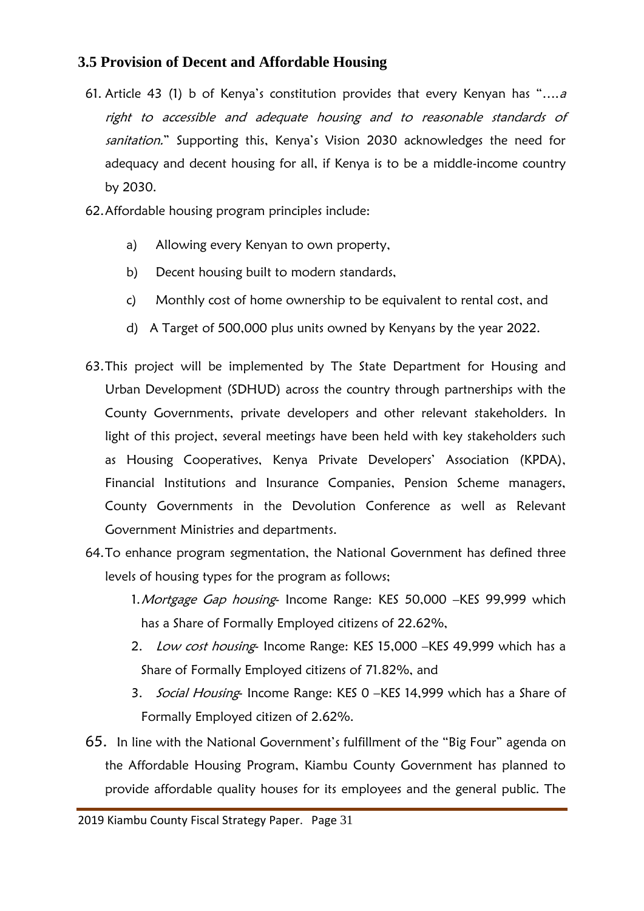## <span id="page-30-0"></span>**3.5 Provision of Decent and Affordable Housing**

- 61. Article 43 (1) b of Kenya's constitution provides that every Kenyan has "....a right to accessible and adequate housing and to reasonable standards of sanitation." Supporting this, Kenya's Vision 2030 acknowledges the need for adequacy and decent housing for all, if Kenya is to be a middle-income country by 2030.
- 62.Affordable housing program principles include:
	- a) Allowing every Kenyan to own property,
	- b) Decent housing built to modern standards,
	- c) Monthly cost of home ownership to be equivalent to rental cost, and
	- d) A Target of 500,000 plus units owned by Kenyans by the year 2022.
- 63.This project will be implemented by The State Department for Housing and Urban Development (SDHUD) across the country through partnerships with the County Governments, private developers and other relevant stakeholders. In light of this project, several meetings have been held with key stakeholders such as Housing Cooperatives, Kenya Private Developers' Association (KPDA), Financial Institutions and Insurance Companies, Pension Scheme managers, County Governments in the Devolution Conference as well as Relevant Government Ministries and departments.
- 64.To enhance program segmentation, the National Government has defined three levels of housing types for the program as follows;
	- 1. Mortgage Gap housing- Income Range: KES 50,000 -KES 99,999 which has a Share of Formally Employed citizens of 22.62%,
	- 2. Low cost housing- Income Range: KES 15,000 -KES 49,999 which has a Share of Formally Employed citizens of 71.82%, and
	- 3. Social Housing- Income Range: KES 0-KES 14,999 which has a Share of Formally Employed citizen of 2.62%.
- 65. In line with the National Government's fulfillment of the "Big Four" agenda on the Affordable Housing Program, Kiambu County Government has planned to provide affordable quality houses for its employees and the general public. The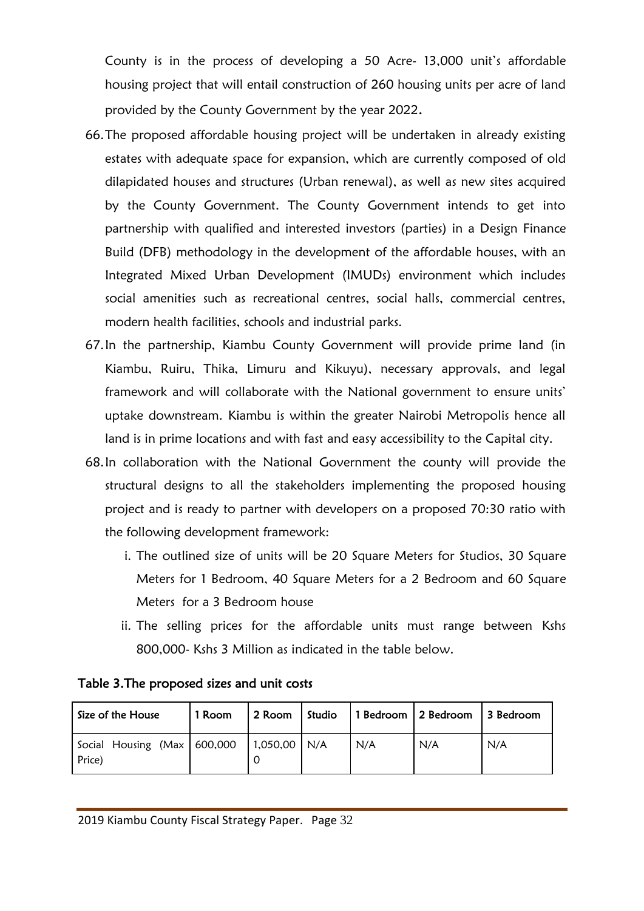County is in the process of developing a 50 Acre- 13,000 unit's affordable housing project that will entail construction of 260 housing units per acre of land provided by the County Government by the year 2022.

- 66.The proposed affordable housing project will be undertaken in already existing estates with adequate space for expansion, which are currently composed of old dilapidated houses and structures (Urban renewal), as well as new sites acquired by the County Government. The County Government intends to get into partnership with qualified and interested investors (parties) in a Design Finance Build (DFB) methodology in the development of the affordable houses, with an Integrated Mixed Urban Development (IMUDs) environment which includes social amenities such as recreational centres, social halls, commercial centres, modern health facilities, schools and industrial parks.
- 67.In the partnership, Kiambu County Government will provide prime land (in Kiambu, Ruiru, Thika, Limuru and Kikuyu), necessary approvals, and legal framework and will collaborate with the National government to ensure units' uptake downstream. Kiambu is within the greater Nairobi Metropolis hence all land is in prime locations and with fast and easy accessibility to the Capital city.
- 68.In collaboration with the National Government the county will provide the structural designs to all the stakeholders implementing the proposed housing project and is ready to partner with developers on a proposed 70:30 ratio with the following development framework:
	- i. The outlined size of units will be 20 Square Meters for Studios, 30 Square Meters for 1 Bedroom, 40 Square Meters for a 2 Bedroom and 60 Square Meters for a 3 Bedroom house
	- ii. The selling prices for the affordable units must range between Kshs 800,000- Kshs 3 Million as indicated in the table below.

<span id="page-31-0"></span>

| Size of the House                     | 1 Room | 2 Room         | Studio |     | 1 Bedroom   2 Bedroom   3 Bedroom |     |
|---------------------------------------|--------|----------------|--------|-----|-----------------------------------|-----|
| Social Housing (Max 600,000<br>Price) |        | $1,050,00$ N/A |        | N/A | N/A                               | N/A |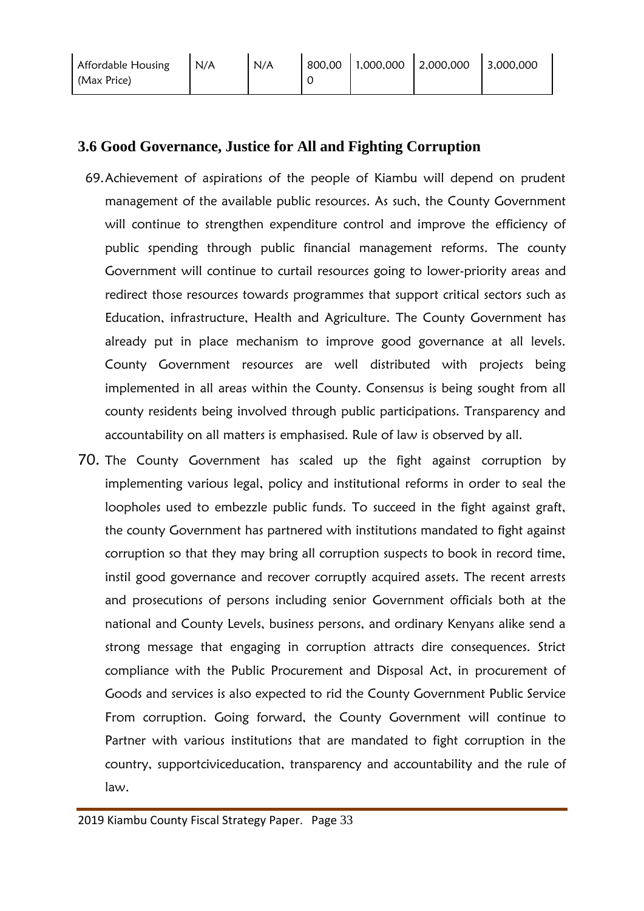| Affordable Housing | IN/A | N/A | 800,00   1,000,000   2,000,000 | 3,000,000 |
|--------------------|------|-----|--------------------------------|-----------|
| (Max Price)        |      |     |                                |           |

### <span id="page-32-0"></span>**3.6 Good Governance, Justice for All and Fighting Corruption**

- 69.Achievement of aspirations of the people of Kiambu will depend on prudent management of the available public resources. As such, the County Government will continue to strengthen expenditure control and improve the efficiency of public spending through public financial management reforms. The county Government will continue to curtail resources going to lower-priority areas and redirect those resources towards programmes that support critical sectors such as Education, infrastructure, Health and Agriculture. The County Government has already put in place mechanism to improve good governance at all levels. County Government resources are well distributed with projects being implemented in all areas within the County. Consensus is being sought from all county residents being involved through public participations. Transparency and accountability on all matters is emphasised. Rule of law is observed by all.
- 70. The County Government has scaled up the fight against corruption by implementing various legal, policy and institutional reforms in order to seal the loopholes used to embezzle public funds. To succeed in the fight against graft, the county Government has partnered with institutions mandated to fight against corruption so that they may bring all corruption suspects to book in record time, instil good governance and recover corruptly acquired assets. The recent arrests and prosecutions of persons including senior Government officials both at the national and County Levels, business persons, and ordinary Kenyans alike send a strong message that engaging in corruption attracts dire consequences. Strict compliance with the Public Procurement and Disposal Act, in procurement of Goods and services is also expected to rid the County Government Public Service From corruption. Going forward, the County Government will continue to Partner with various institutions that are mandated to fight corruption in the country, supportciviceducation, transparency and accountability and the rule of law.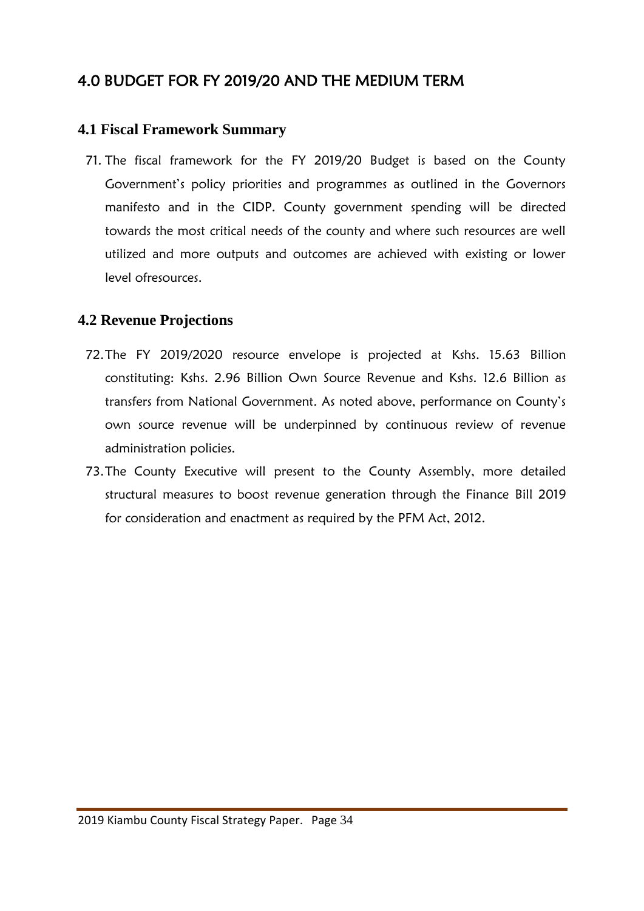## <span id="page-33-0"></span>4.0 BUDGET FOR FY 2019/20 AND THE MEDIUM TERM

#### <span id="page-33-1"></span>**4.1 Fiscal Framework Summary**

71. The fiscal framework for the FY 2019/20 Budget is based on the County Government's policy priorities and programmes as outlined in the Governors manifesto and in the CIDP. County government spending will be directed towards the most critical needs of the county and where such resources are well utilized and more outputs and outcomes are achieved with existing or lower level ofresources.

#### <span id="page-33-2"></span>**4.2 Revenue Projections**

- 72.The FY 2019/2020 resource envelope is projected at Kshs. 15.63 Billion constituting: Kshs. 2.96 Billion Own Source Revenue and Kshs. 12.6 Billion as transfers from National Government. As noted above, performance on County's own source revenue will be underpinned by continuous review of revenue administration policies.
- 73.The County Executive will present to the County Assembly, more detailed structural measures to boost revenue generation through the Finance Bill 2019 for consideration and enactment as required by the PFM Act, 2012.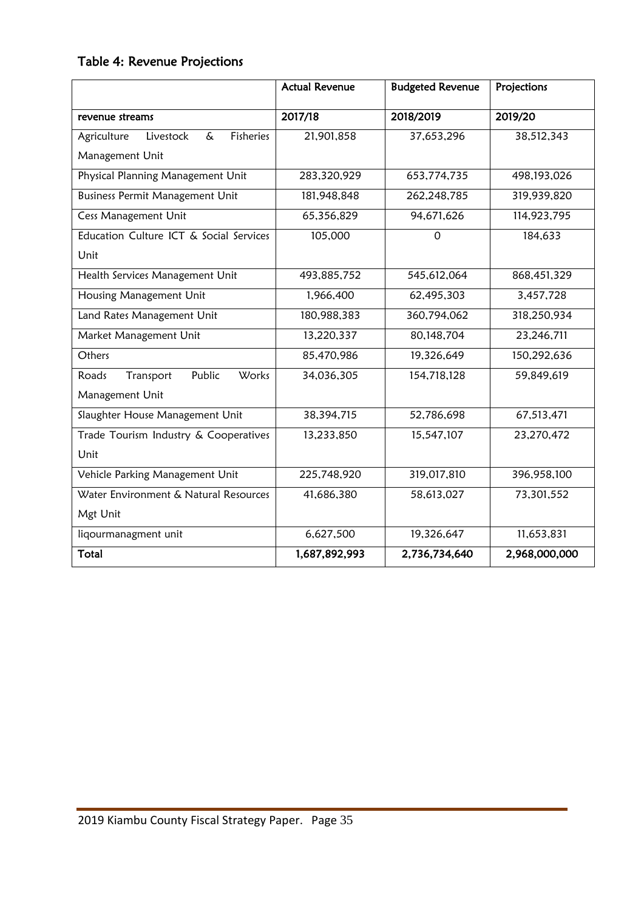# <span id="page-34-0"></span>Table 4: Revenue Projections

|                                            | <b>Actual Revenue</b> | <b>Budgeted Revenue</b> | Projections   |
|--------------------------------------------|-----------------------|-------------------------|---------------|
| revenue streams                            | 2017/18               | 2018/2019               | 2019/20       |
| Fisheries<br>Agriculture<br>Livestock<br>ፌ | 21,901,858            | 37,653,296              | 38,512,343    |
| Management Unit                            |                       |                         |               |
| Physical Planning Management Unit          | 283,320,929           | 653,774,735             | 498,193,026   |
| <b>Business Permit Management Unit</b>     | 181,948,848           | 262,248,785             | 319,939,820   |
| Cess Management Unit                       | 65,356,829            | 94,671,626              | 114,923,795   |
| Education Culture ICT & Social Services    | 105,000               | 0                       | 184,633       |
| Unit                                       |                       |                         |               |
| Health Services Management Unit            | 493,885,752           | 545,612,064             | 868,451,329   |
| Housing Management Unit                    | 1,966,400             | 62,495,303              | 3,457,728     |
| Land Rates Management Unit                 | 180,988,383           | 360,794,062             | 318,250,934   |
| Market Management Unit                     | 13,220,337            | 80,148,704              | 23,246,711    |
| Others                                     | 85,470,986            | 19,326,649              | 150,292,636   |
| Public<br>Transport<br>Works<br>Roads      | 34,036,305            | 154,718,128             | 59,849,619    |
| Management Unit                            |                       |                         |               |
| Slaughter House Management Unit            | 38,394,715            | 52,786,698              | 67,513,471    |
| Trade Tourism Industry & Cooperatives      | 13,233,850            | 15,547,107              | 23,270,472    |
| Unit                                       |                       |                         |               |
| Vehicle Parking Management Unit            | 225,748,920           | 319,017,810             | 396,958,100   |
| Water Environment & Natural Resources      | 41,686,380            | 58,613,027              | 73,301,552    |
| Mgt Unit                                   |                       |                         |               |
| liqourmanagment unit                       | 6,627,500             | 19,326,647              | 11,653,831    |
| Total                                      | 1,687,892,993         | 2,736,734,640           | 2,968,000,000 |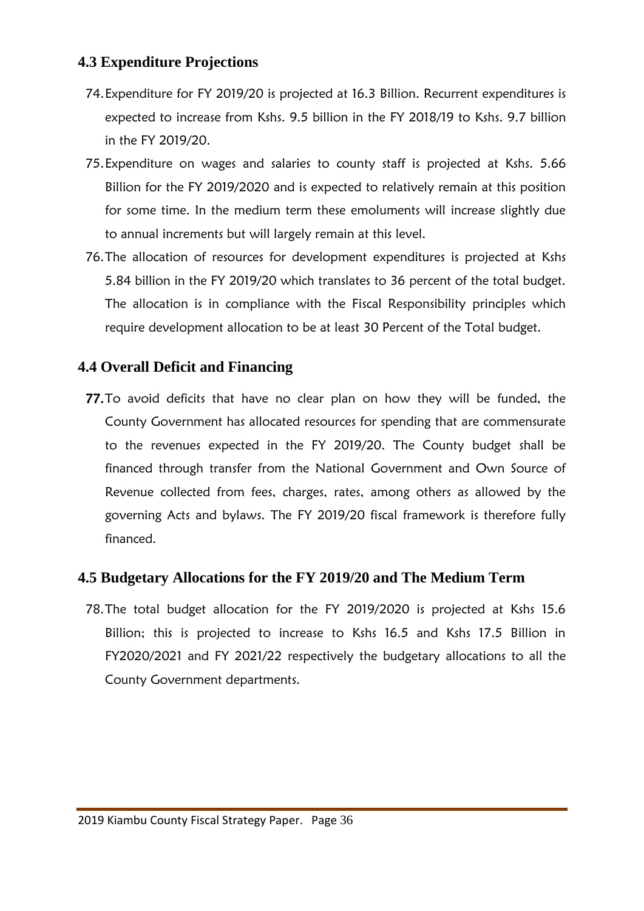## <span id="page-35-0"></span>**4.3 Expenditure Projections**

- 74.Expenditure for FY 2019/20 is projected at 16.3 Billion. Recurrent expenditures is expected to increase from Kshs. 9.5 billion in the FY 2018/19 to Kshs. 9.7 billion in the FY 2019/20.
- 75.Expenditure on wages and salaries to county staff is projected at Kshs. 5.66 Billion for the FY 2019/2020 and is expected to relatively remain at this position for some time. In the medium term these emoluments will increase slightly due to annual increments but will largely remain at this level.
- 76.The allocation of resources for development expenditures is projected at Kshs 5.84 billion in the FY 2019/20 which translates to 36 percent of the total budget. The allocation is in compliance with the Fiscal Responsibility principles which require development allocation to be at least 30 Percent of the Total budget.

#### <span id="page-35-1"></span>**4.4 Overall Deficit and Financing**

77.To avoid deficits that have no clear plan on how they will be funded, the County Government has allocated resources for spending that are commensurate to the revenues expected in the FY 2019/20. The County budget shall be financed through transfer from the National Government and Own Source of Revenue collected from fees, charges, rates, among others as allowed by the governing Acts and bylaws. The FY 2019/20 fiscal framework is therefore fully financed.

#### <span id="page-35-2"></span>**4.5 Budgetary Allocations for the FY 2019/20 and The Medium Term**

78.The total budget allocation for the FY 2019/2020 is projected at Kshs 15.6 Billion; this is projected to increase to Kshs 16.5 and Kshs 17.5 Billion in FY2020/2021 and FY 2021/22 respectively the budgetary allocations to all the County Government departments.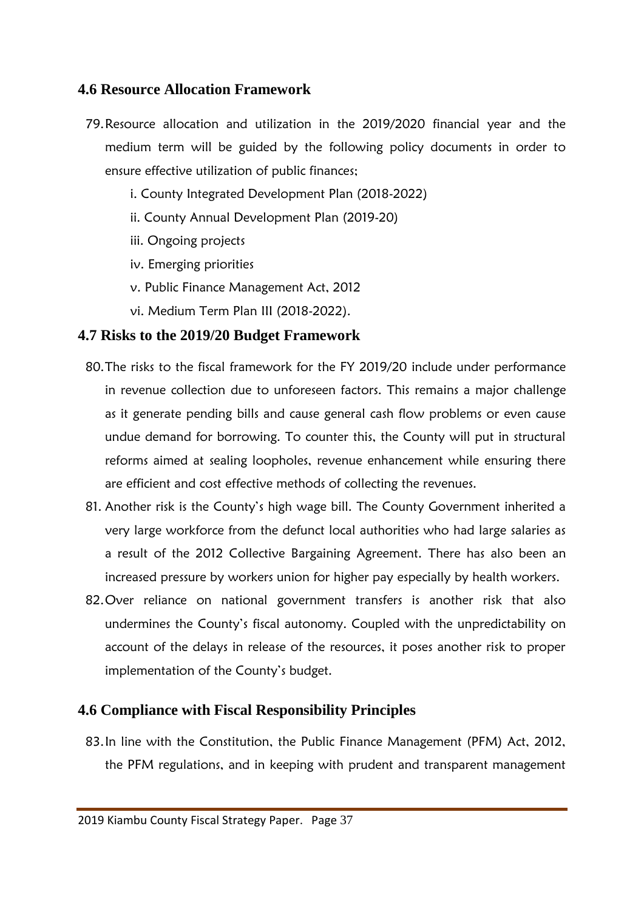#### <span id="page-36-0"></span>**4.6 Resource Allocation Framework**

- 79.Resource allocation and utilization in the 2019/2020 financial year and the medium term will be guided by the following policy documents in order to ensure effective utilization of public finances;
	- i. County Integrated Development Plan (2018-2022)
	- ii. County Annual Development Plan (2019-20)
	- iii. Ongoing projects
	- iv. Emerging priorities
	- v. Public Finance Management Act, 2012
	- vi. Medium Term Plan III (2018-2022).

#### <span id="page-36-1"></span>**4.7 Risks to the 2019/20 Budget Framework**

- 80.The risks to the fiscal framework for the FY 2019/20 include under performance in revenue collection due to unforeseen factors. This remains a major challenge as it generate pending bills and cause general cash flow problems or even cause undue demand for borrowing. To counter this, the County will put in structural reforms aimed at sealing loopholes, revenue enhancement while ensuring there are efficient and cost effective methods of collecting the revenues.
- 81. Another risk is the County's high wage bill. The County Government inherited a very large workforce from the defunct local authorities who had large salaries as a result of the 2012 Collective Bargaining Agreement. There has also been an increased pressure by workers union for higher pay especially by health workers.
- 82. Over reliance on national government transfers is another risk that also undermines the County's fiscal autonomy. Coupled with the unpredictability on account of the delays in release of the resources, it poses another risk to proper implementation of the County's budget.

#### <span id="page-36-2"></span>**4.6 Compliance with Fiscal Responsibility Principles**

83.In line with the Constitution, the Public Finance Management (PFM) Act, 2012, the PFM regulations, and in keeping with prudent and transparent management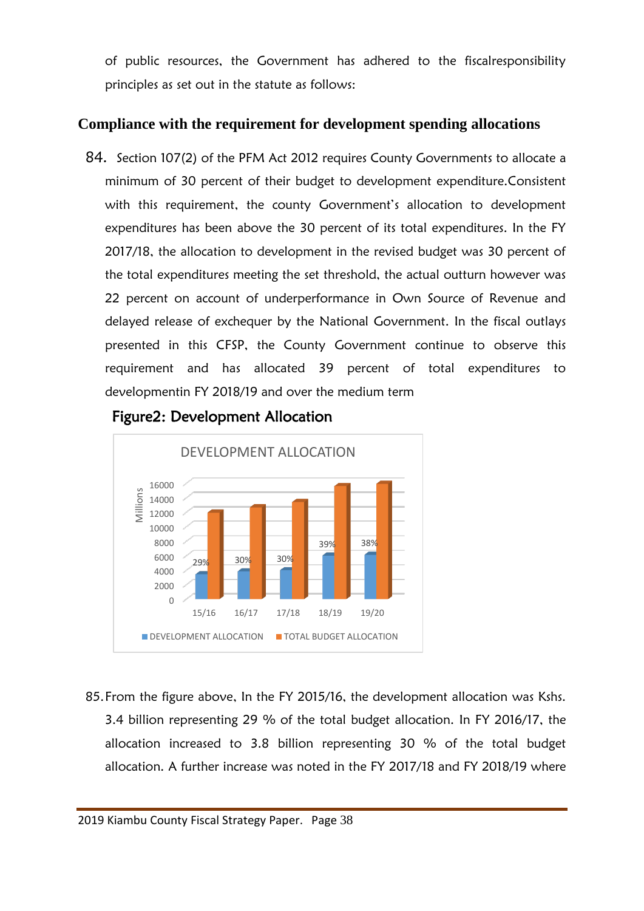of public resources, the Government has adhered to the fiscalresponsibility principles as set out in the statute as follows:

#### **Compliance with the requirement for development spending allocations**

84. Section 107(2) of the PFM Act 2012 requires County Governments to allocate a minimum of 30 percent of their budget to development expenditure.Consistent with this requirement, the county Government's allocation to development expenditures has been above the 30 percent of its total expenditures. In the FY 2017/18, the allocation to development in the revised budget was 30 percent of the total expenditures meeting the set threshold, the actual outturn however was 22 percent on account of underperformance in Own Source of Revenue and delayed release of exchequer by the National Government. In the fiscal outlays presented in this CFSP, the County Government continue to observe this requirement and has allocated 39 percent of total expenditures to developmentin FY 2018/19 and over the medium term



#### <span id="page-37-0"></span>Figure2: Development Allocation

85.From the figure above, In the FY 2015/16, the development allocation was Kshs. 3.4 billion representing 29 % of the total budget allocation. In FY 2016/17, the allocation increased to 3.8 billion representing 30 % of the total budget allocation. A further increase was noted in the FY 2017/18 and FY 2018/19 where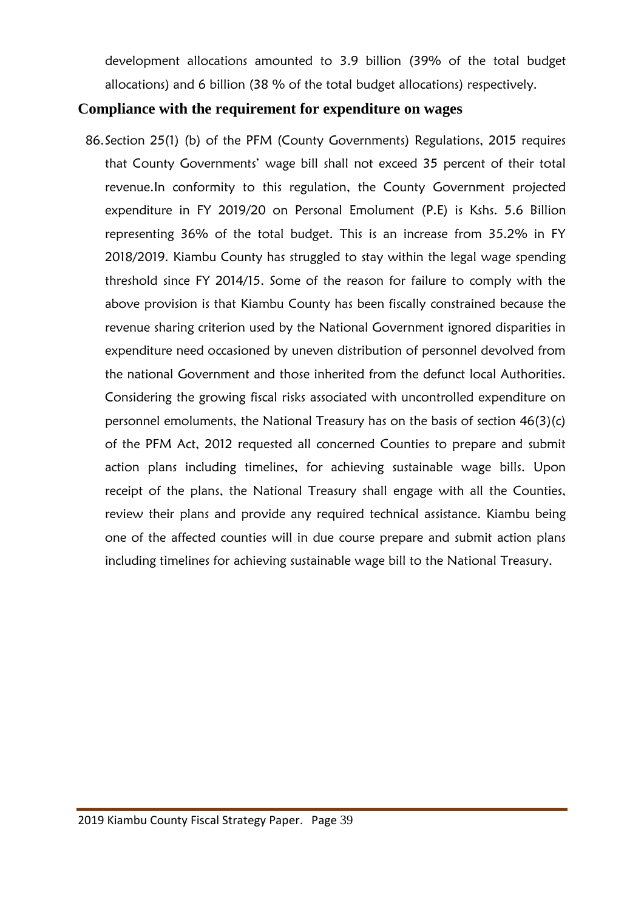development allocations amounted to 3.9 billion (39% of the total budget allocations) and 6 billion (38 % of the total budget allocations) respectively.

#### **Compliance with the requirement for expenditure on wages**

86.Section 25(1) (b) of the PFM (County Governments) Regulations, 2015 requires that County Governments' wage bill shall not exceed 35 percent of their total revenue.In conformity to this regulation, the County Government projected expenditure in FY 2019/20 on Personal Emolument (P.E) is Kshs. 5.6 Billion representing 36% of the total budget. This is an increase from 35.2% in FY 2018/2019. Kiambu County has struggled to stay within the legal wage spending threshold since FY 2014/15. Some of the reason for failure to comply with the above provision is that Kiambu County has been fiscally constrained because the revenue sharing criterion used by the National Government ignored disparities in expenditure need occasioned by uneven distribution of personnel devolved from the national Government and those inherited from the defunct local Authorities. Considering the growing fiscal risks associated with uncontrolled expenditure on personnel emoluments, the National Treasury has on the basis of section 46(3)(c) of the PFM Act, 2012 requested all concerned Counties to prepare and submit action plans including timelines, for achieving sustainable wage bills. Upon receipt of the plans, the National Treasury shall engage with all the Counties, review their plans and provide any required technical assistance. Kiambu being one of the affected counties will in due course prepare and submit action plans including timelines for achieving sustainable wage bill to the National Treasury.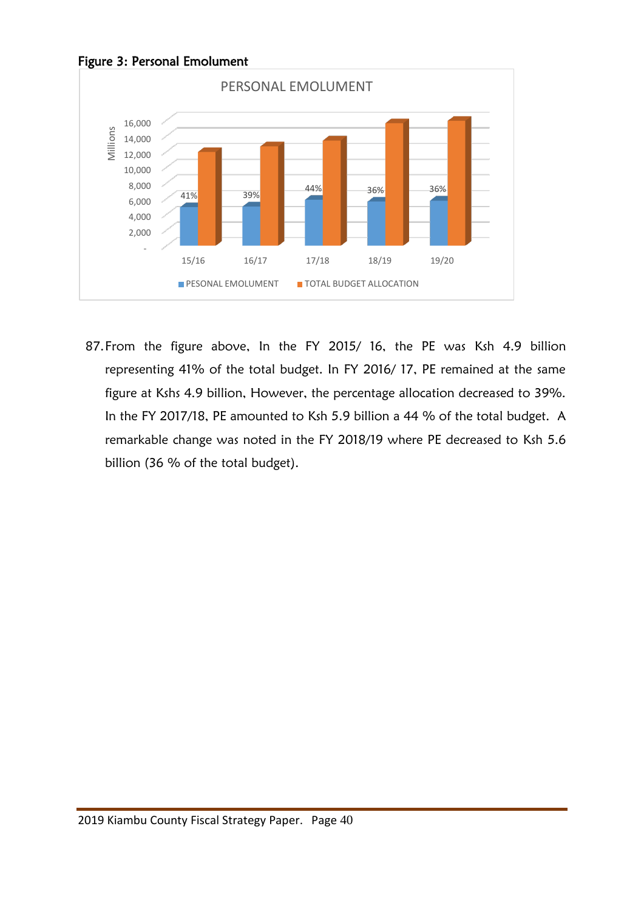<span id="page-39-0"></span>



87.From the figure above, In the FY 2015/ 16, the PE was Ksh 4.9 billion representing 41% of the total budget. In FY 2016/ 17, PE remained at the same figure at Kshs 4.9 billion, However, the percentage allocation decreased to 39%. In the FY 2017/18, PE amounted to Ksh 5.9 billion a 44 % of the total budget. A remarkable change was noted in the FY 2018/19 where PE decreased to Ksh 5.6 billion (36 % of the total budget).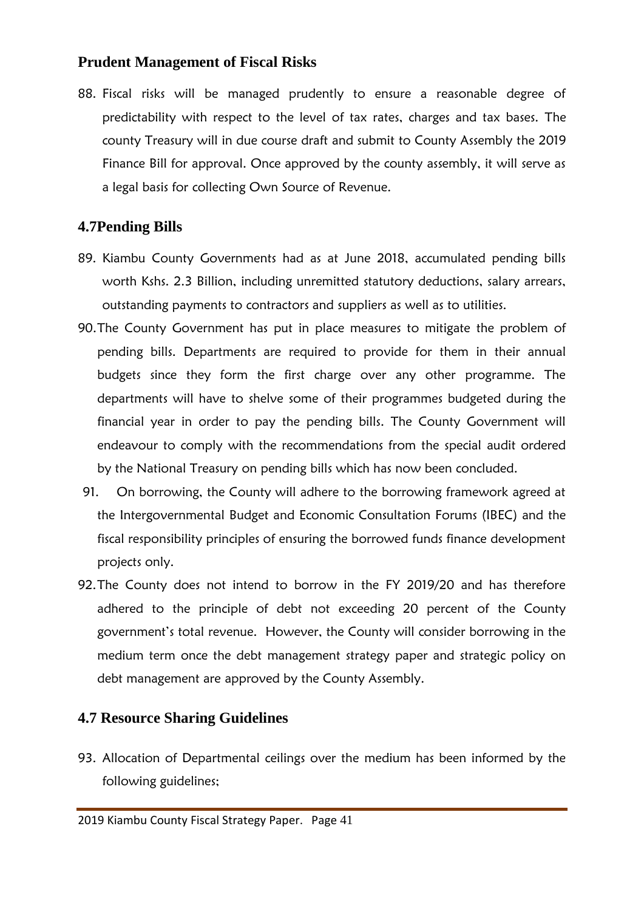#### **Prudent Management of Fiscal Risks**

88. Fiscal risks will be managed prudently to ensure a reasonable degree of predictability with respect to the level of tax rates, charges and tax bases. The county Treasury will in due course draft and submit to County Assembly the 2019 Finance Bill for approval. Once approved by the county assembly, it will serve as a legal basis for collecting Own Source of Revenue.

## <span id="page-40-0"></span>**4.7Pending Bills**

- 89. Kiambu County Governments had as at June 2018, accumulated pending bills worth Kshs. 2.3 Billion, including unremitted statutory deductions, salary arrears, outstanding payments to contractors and suppliers as well as to utilities.
- 90.The County Government has put in place measures to mitigate the problem of pending bills. Departments are required to provide for them in their annual budgets since they form the first charge over any other programme. The departments will have to shelve some of their programmes budgeted during the financial year in order to pay the pending bills. The County Government will endeavour to comply with the recommendations from the special audit ordered by the National Treasury on pending bills which has now been concluded.
- 91. On borrowing, the County will adhere to the borrowing framework agreed at the Intergovernmental Budget and Economic Consultation Forums (IBEC) and the fiscal responsibility principles of ensuring the borrowed funds finance development projects only.
- 92.The County does not intend to borrow in the FY 2019/20 and has therefore adhered to the principle of debt not exceeding 20 percent of the County government's total revenue. However, the County will consider borrowing in the medium term once the debt management strategy paper and strategic policy on debt management are approved by the County Assembly.

## <span id="page-40-1"></span>**4.7 Resource Sharing Guidelines**

93. Allocation of Departmental ceilings over the medium has been informed by the following guidelines;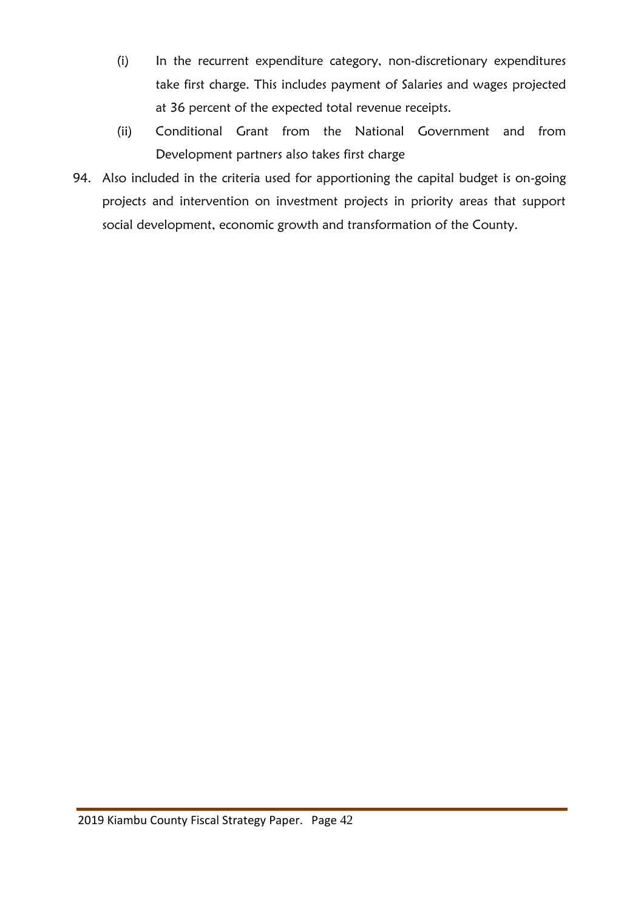- (i) In the recurrent expenditure category, non-discretionary expenditures take first charge. This includes payment of Salaries and wages projected at 36 percent of the expected total revenue receipts.
- (ii) Conditional Grant from the National Government and from Development partners also takes first charge
- 94. Also included in the criteria used for apportioning the capital budget is on-going projects and intervention on investment projects in priority areas that support social development, economic growth and transformation of the County.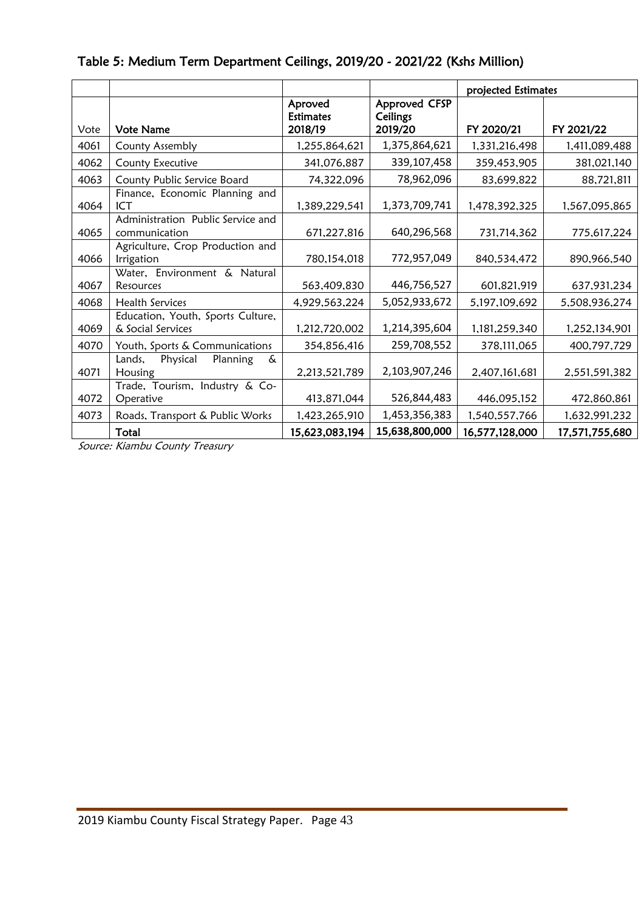|      |                                                        |                             |                           | projected Estimates |                |
|------|--------------------------------------------------------|-----------------------------|---------------------------|---------------------|----------------|
|      |                                                        | Aproved<br><b>Estimates</b> | Approved CFSP<br>Ceilings |                     |                |
| Vote | <b>Vote Name</b>                                       | 2018/19                     | 2019/20                   | FY 2020/21          | FY 2021/22     |
| 4061 | County Assembly                                        | 1,255,864,621               | 1,375,864,621             | 1,331,216,498       | 1,411,089,488  |
| 4062 | County Executive                                       | 341,076,887                 | 339,107,458               | 359,453,905         | 381,021,140    |
| 4063 | County Public Service Board                            | 74,322,096                  | 78,962,096                | 83,699,822          | 88,721,811     |
| 4064 | Finance, Economic Planning and<br>ICT                  | 1,389,229,541               | 1,373,709,741             | 1,478,392,325       | 1,567,095,865  |
| 4065 | Administration Public Service and<br>communication     | 671,227,816                 | 640,296,568               | 731,714,362         | 775,617,224    |
| 4066 | Agriculture, Crop Production and<br>Irrigation         | 780,154,018                 | 772,957,049               | 840,534,472         | 890,966,540    |
| 4067 | Water, Environment & Natural<br>Resources              | 563,409,830                 | 446,756,527               | 601,821,919         | 637,931,234    |
| 4068 | <b>Health Services</b>                                 | 4,929,563,224               | 5,052,933,672             | 5, 197, 109, 692    | 5,508,936,274  |
| 4069 | Education, Youth, Sports Culture,<br>& Social Services | 1,212,720,002               | 1,214,395,604             | 1,181,259,340       | 1,252,134,901  |
| 4070 | Youth, Sports & Communications                         | 354,856,416                 | 259,708,552               | 378,111,065         | 400,797,729    |
| 4071 | Physical<br>Planning<br>&<br>Lands,<br>Housing         | 2,213,521,789               | 2,103,907,246             | 2,407,161,681       | 2,551,591,382  |
| 4072 | Trade, Tourism, Industry & Co-<br>Operative            | 413,871,044                 | 526,844,483               | 446,095,152         | 472,860,861    |
| 4073 | Roads, Transport & Public Works                        | 1,423,265,910               | 1,453,356,383             | 1,540,557,766       | 1,632,991,232  |
|      | Total                                                  | 15,623,083,194              | 15,638,800,000            | 16,577,128,000      | 17,571,755,680 |

<span id="page-42-0"></span>Table 5: Medium Term Department Ceilings, 2019/20 - 2021/22 (Kshs Million)

Source: Kiambu County Treasury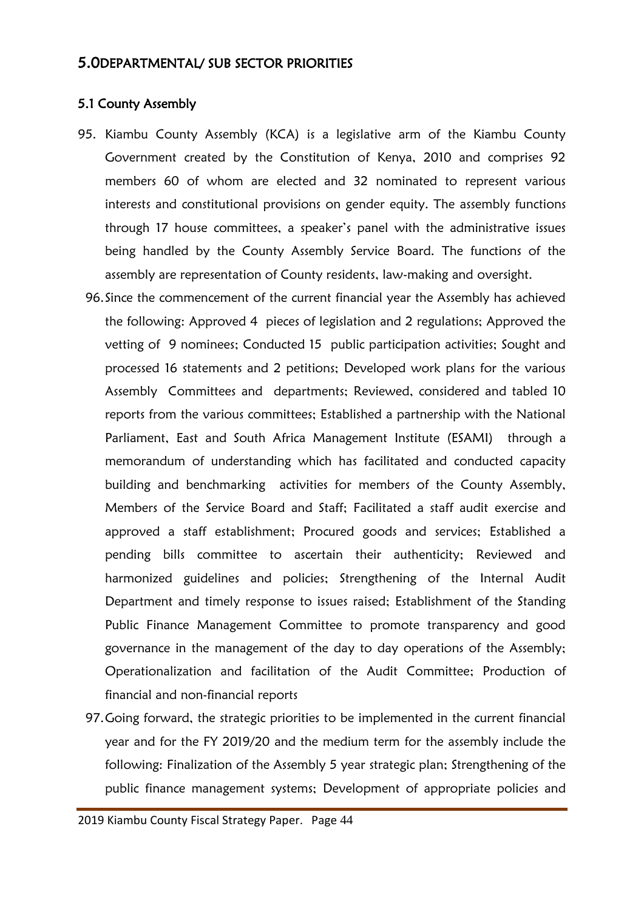#### <span id="page-43-0"></span>5.0DEPARTMENTAL/ SUB SECTOR PRIORITIES

#### <span id="page-43-1"></span>5.1 County Assembly

- 95. Kiambu County Assembly (KCA) is a legislative arm of the Kiambu County Government created by the Constitution of Kenya, 2010 and comprises 92 members 60 of whom are elected and 32 nominated to represent various interests and constitutional provisions on gender equity. The assembly functions through 17 house committees, a speaker's panel with the administrative issues being handled by the County Assembly Service Board. The functions of the assembly are representation of County residents, law-making and oversight.
	- 96.Since the commencement of the current financial year the Assembly has achieved the following: Approved 4 pieces of legislation and 2 regulations; Approved the vetting of 9 nominees; Conducted 15 public participation activities; Sought and processed 16 statements and 2 petitions; Developed work plans for the various Assembly Committees and departments; Reviewed, considered and tabled 10 reports from the various committees; Established a partnership with the National Parliament, East and South Africa Management Institute (ESAMI) through a memorandum of understanding which has facilitated and conducted capacity building and benchmarking activities for members of the County Assembly, Members of the Service Board and Staff; Facilitated a staff audit exercise and approved a staff establishment; Procured goods and services; Established a pending bills committee to ascertain their authenticity; Reviewed and harmonized guidelines and policies; Strengthening of the Internal Audit Department and timely response to issues raised; Establishment of the Standing Public Finance Management Committee to promote transparency and good governance in the management of the day to day operations of the Assembly; Operationalization and facilitation of the Audit Committee; Production of financial and non-financial reports
	- 97.Going forward, the strategic priorities to be implemented in the current financial year and for the FY 2019/20 and the medium term for the assembly include the following: Finalization of the Assembly 5 year strategic plan; Strengthening of the public finance management systems; Development of appropriate policies and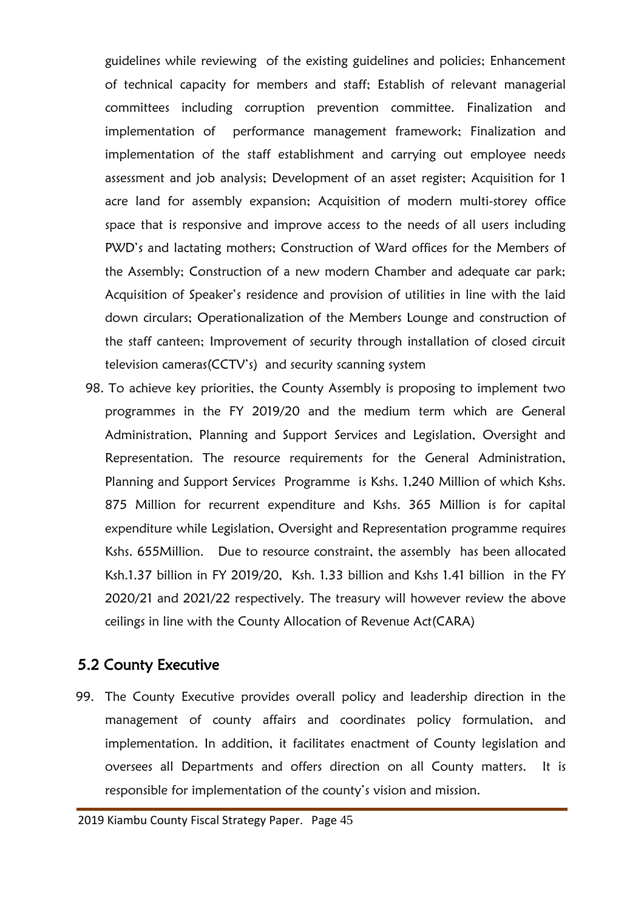guidelines while reviewing of the existing guidelines and policies; Enhancement of technical capacity for members and staff; Establish of relevant managerial committees including corruption prevention committee. Finalization and implementation of performance management framework; Finalization and implementation of the staff establishment and carrying out employee needs assessment and job analysis; Development of an asset register; Acquisition for 1 acre land for assembly expansion; Acquisition of modern multi-storey office space that is responsive and improve access to the needs of all users including PWD's and lactating mothers; Construction of Ward offices for the Members of the Assembly; Construction of a new modern Chamber and adequate car park; Acquisition of Speaker's residence and provision of utilities in line with the laid down circulars; Operationalization of the Members Lounge and construction of the staff canteen; Improvement of security through installation of closed circuit television cameras(CCTV's) and security scanning system

98. To achieve key priorities, the County Assembly is proposing to implement two programmes in the FY 2019/20 and the medium term which are General Administration, Planning and Support Services and Legislation, Oversight and Representation. The resource requirements for the General Administration, Planning and Support Services Programme is Kshs. 1,240 Million of which Kshs. 875 Million for recurrent expenditure and Kshs. 365 Million is for capital expenditure while Legislation, Oversight and Representation programme requires Kshs. 655Million. Due to resource constraint, the assembly has been allocated Ksh.1.37 billion in FY 2019/20, Ksh. 1.33 billion and Kshs 1.41 billion in the FY 2020/21 and 2021/22 respectively. The treasury will however review the above ceilings in line with the County Allocation of Revenue Act(CARA)

## <span id="page-44-0"></span>5.2 County Executive

99. The County Executive provides overall policy and leadership direction in the management of county affairs and coordinates policy formulation, and implementation. In addition, it facilitates enactment of County legislation and oversees all Departments and offers direction on all County matters. It is responsible for implementation of the county's vision and mission.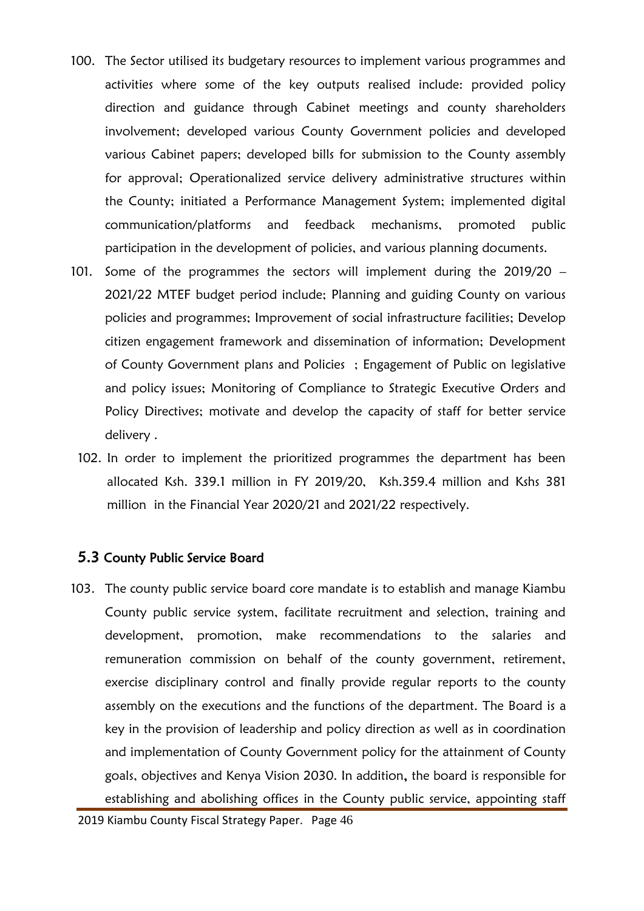- 100. The Sector utilised its budgetary resources to implement various programmes and activities where some of the key outputs realised include: provided policy direction and guidance through Cabinet meetings and county shareholders involvement; developed various County Government policies and developed various Cabinet papers; developed bills for submission to the County assembly for approval; Operationalized service delivery administrative structures within the County; initiated a Performance Management System; implemented digital communication/platforms and feedback mechanisms, promoted public participation in the development of policies, and various planning documents.
- 101. Some of the programmes the sectors will implement during the 2019/20 2021/22 MTEF budget period include; Planning and guiding County on various policies and programmes; Improvement of social infrastructure facilities; Develop citizen engagement framework and dissemination of information; Development of County Government plans and Policies ; Engagement of Public on legislative and policy issues; Monitoring of Compliance to Strategic Executive Orders and Policy Directives; motivate and develop the capacity of staff for better service delivery .
	- 102. In order to implement the prioritized programmes the department has been allocated Ksh. 339.1 million in FY 2019/20, Ksh.359.4 million and Kshs 381 million in the Financial Year 2020/21 and 2021/22 respectively.

#### <span id="page-45-0"></span>5.3 County Public Service Board

103. The county public service board core mandate is to establish and manage Kiambu County public service system, facilitate recruitment and selection, training and development, promotion, make recommendations to the salaries and remuneration commission on behalf of the county government, retirement, exercise disciplinary control and finally provide regular reports to the county assembly on the executions and the functions of the department. The Board is a key in the provision of leadership and policy direction as well as in coordination and implementation of County Government policy for the attainment of County goals, objectives and Kenya Vision 2030. In addition, the board is responsible for establishing and abolishing offices in the County public service, appointing staff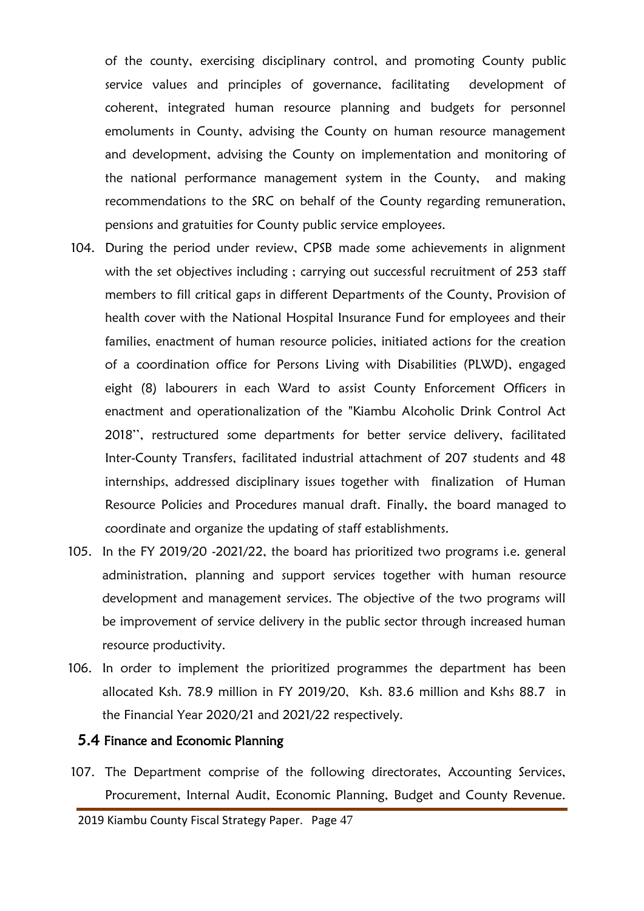of the county, exercising disciplinary control, and promoting County public service values and principles of governance, facilitating development of coherent, integrated human resource planning and budgets for personnel emoluments in County, advising the County on human resource management and development, advising the County on implementation and monitoring of the national performance management system in the County, and making recommendations to the SRC on behalf of the County regarding remuneration, pensions and gratuities for County public service employees.

- 104. During the period under review, CPSB made some achievements in alignment with the set objectives including ; carrying out successful recruitment of 253 staff members to fill critical gaps in different Departments of the County, Provision of health cover with the National Hospital Insurance Fund for employees and their families, enactment of human resource policies, initiated actions for the creation of a coordination office for Persons Living with Disabilities (PLWD), engaged eight (8) labourers in each Ward to assist County Enforcement Officers in enactment and operationalization of the "Kiambu Alcoholic Drink Control Act 2018'', restructured some departments for better service delivery, facilitated Inter-County Transfers, facilitated industrial attachment of 207 students and 48 internships, addressed disciplinary issues together with finalization of Human Resource Policies and Procedures manual draft. Finally, the board managed to coordinate and organize the updating of staff establishments.
- 105. In the FY 2019/20 -2021/22, the board has prioritized two programs i.e. general administration, planning and support services together with human resource development and management services. The objective of the two programs will be improvement of service delivery in the public sector through increased human resource productivity.
- 106. In order to implement the prioritized programmes the department has been allocated Ksh. 78.9 million in FY 2019/20, Ksh. 83.6 million and Kshs 88.7 in the Financial Year 2020/21 and 2021/22 respectively.

#### <span id="page-46-0"></span>5.4 Finance and Economic Planning

107. The Department comprise of the following directorates, Accounting Services, Procurement, Internal Audit, Economic Planning, Budget and County Revenue.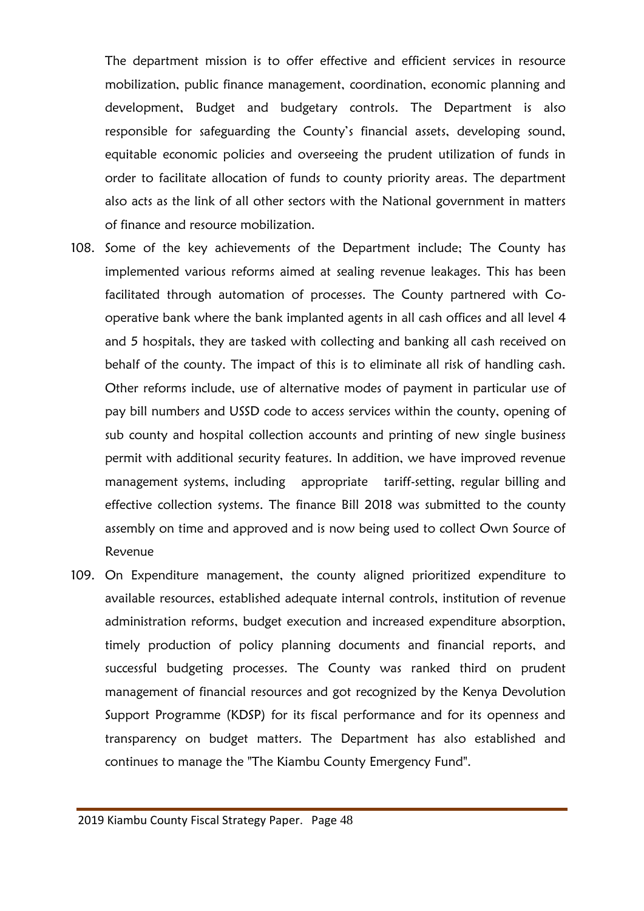The department mission is to offer effective and efficient services in resource mobilization, public finance management, coordination, economic planning and development, Budget and budgetary controls. The Department is also responsible for safeguarding the County's financial assets, developing sound, equitable economic policies and overseeing the prudent utilization of funds in order to facilitate allocation of funds to county priority areas. The department also acts as the link of all other sectors with the National government in matters of finance and resource mobilization.

- 108. Some of the key achievements of the Department include; The County has implemented various reforms aimed at sealing revenue leakages. This has been facilitated through automation of processes. The County partnered with Cooperative bank where the bank implanted agents in all cash offices and all level 4 and 5 hospitals, they are tasked with collecting and banking all cash received on behalf of the county. The impact of this is to eliminate all risk of handling cash. Other reforms include, use of alternative modes of payment in particular use of pay bill numbers and USSD code to access services within the county, opening of sub county and hospital collection accounts and printing of new single business permit with additional security features. In addition, we have improved revenue management systems, including appropriate tariff-setting, regular billing and effective collection systems. The finance Bill 2018 was submitted to the county assembly on time and approved and is now being used to collect Own Source of Revenue
- 109. On Expenditure management, the county aligned prioritized expenditure to available resources, established adequate internal controls, institution of revenue administration reforms, budget execution and increased expenditure absorption, timely production of policy planning documents and financial reports, and successful budgeting processes. The County was ranked third on prudent management of financial resources and got recognized by the Kenya Devolution Support Programme (KDSP) for its fiscal performance and for its openness and transparency on budget matters. The Department has also established and continues to manage the "The Kiambu County Emergency Fund".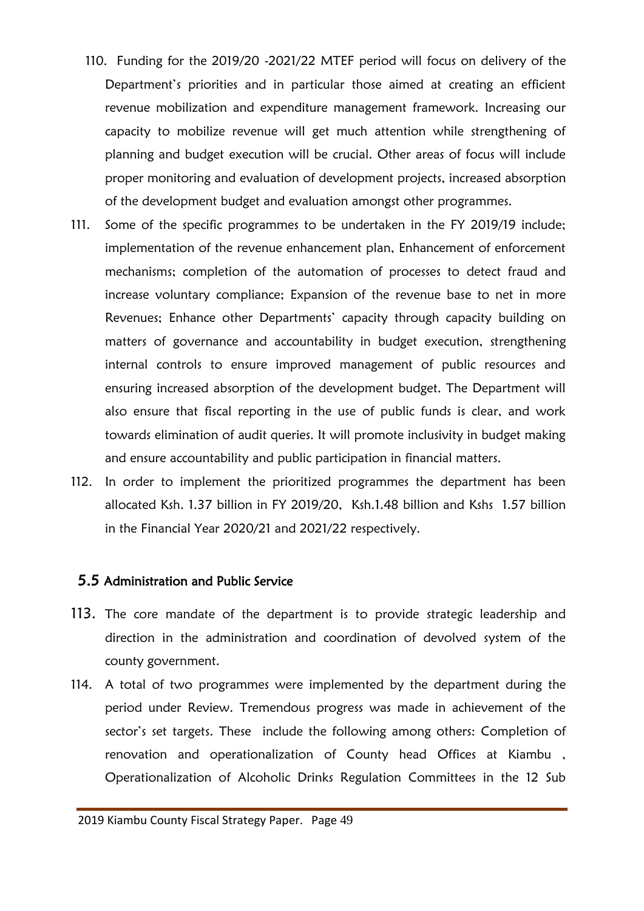- 110. Funding for the 2019/20 -2021/22 MTEF period will focus on delivery of the Department's priorities and in particular those aimed at creating an efficient revenue mobilization and expenditure management framework. Increasing our capacity to mobilize revenue will get much attention while strengthening of planning and budget execution will be crucial. Other areas of focus will include proper monitoring and evaluation of development projects, increased absorption of the development budget and evaluation amongst other programmes.
- 111. Some of the specific programmes to be undertaken in the FY 2019/19 include; implementation of the revenue enhancement plan, Enhancement of enforcement mechanisms; completion of the automation of processes to detect fraud and increase voluntary compliance; Expansion of the revenue base to net in more Revenues; Enhance other Departments' capacity through capacity building on matters of governance and accountability in budget execution, strengthening internal controls to ensure improved management of public resources and ensuring increased absorption of the development budget. The Department will also ensure that fiscal reporting in the use of public funds is clear, and work towards elimination of audit queries. It will promote inclusivity in budget making and ensure accountability and public participation in financial matters.
- 112. In order to implement the prioritized programmes the department has been allocated Ksh. 1.37 billion in FY 2019/20, Ksh.1.48 billion and Kshs 1.57 billion in the Financial Year 2020/21 and 2021/22 respectively.

#### <span id="page-48-0"></span>5.5 Administration and Public Service

- 113. The core mandate of the department is to provide strategic leadership and direction in the administration and coordination of devolved system of the county government.
- 114. A total of two programmes were implemented by the department during the period under Review. Tremendous progress was made in achievement of the sector's set targets. These include the following among others: Completion of renovation and operationalization of County head Offices at Kiambu , Operationalization of Alcoholic Drinks Regulation Committees in the 12 Sub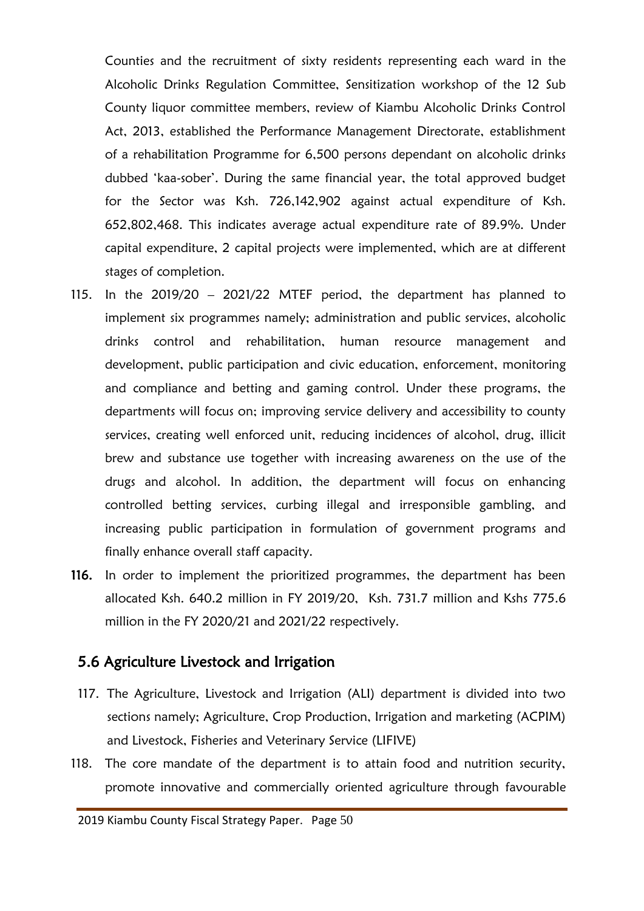Counties and the recruitment of sixty residents representing each ward in the Alcoholic Drinks Regulation Committee, Sensitization workshop of the 12 Sub County liquor committee members, review of Kiambu Alcoholic Drinks Control Act, 2013, established the Performance Management Directorate, establishment of a rehabilitation Programme for 6,500 persons dependant on alcoholic drinks dubbed 'kaa-sober'. During the same financial year, the total approved budget for the Sector was Ksh. 726,142,902 against actual expenditure of Ksh. 652,802,468. This indicates average actual expenditure rate of 89.9%. Under capital expenditure, 2 capital projects were implemented, which are at different stages of completion.

- 115. In the 2019/20 2021/22 MTEF period, the department has planned to implement six programmes namely; administration and public services, alcoholic drinks control and rehabilitation, human resource management and development, public participation and civic education, enforcement, monitoring and compliance and betting and gaming control. Under these programs, the departments will focus on; improving service delivery and accessibility to county services, creating well enforced unit, reducing incidences of alcohol, drug, illicit brew and substance use together with increasing awareness on the use of the drugs and alcohol. In addition, the department will focus on enhancing controlled betting services, curbing illegal and irresponsible gambling, and increasing public participation in formulation of government programs and finally enhance overall staff capacity.
- 116. In order to implement the prioritized programmes, the department has been allocated Ksh. 640.2 million in FY 2019/20, Ksh. 731.7 million and Kshs 775.6 million in the FY 2020/21 and 2021/22 respectively.

## <span id="page-49-0"></span>5.6 Agriculture Livestock and Irrigation

- 117. The Agriculture, Livestock and Irrigation (ALI) department is divided into two sections namely; Agriculture, Crop Production, Irrigation and marketing (ACPIM) and Livestock, Fisheries and Veterinary Service (LIFIVE)
- 118. The core mandate of the department is to attain food and nutrition security, promote innovative and commercially oriented agriculture through favourable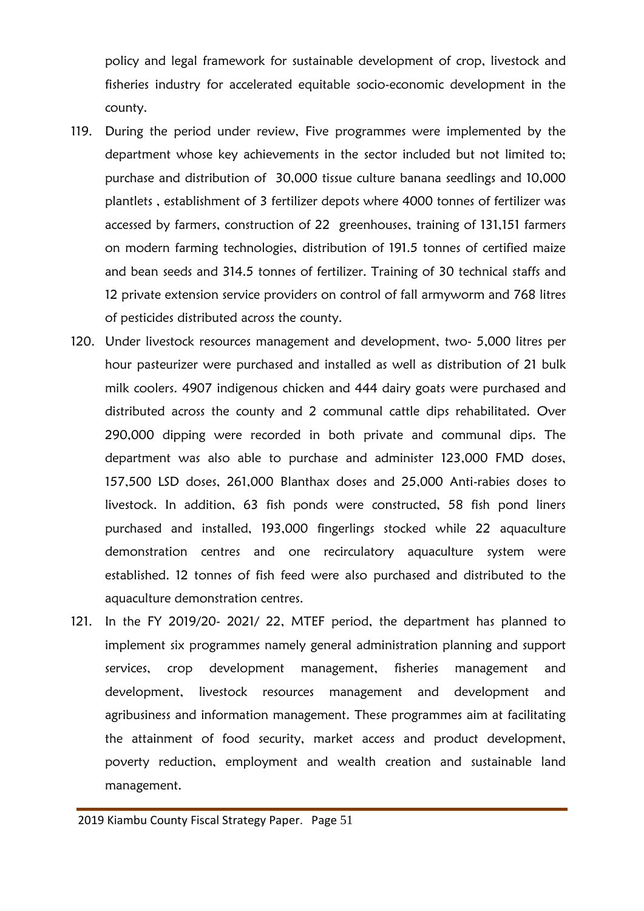policy and legal framework for sustainable development of crop, livestock and fisheries industry for accelerated equitable socio-economic development in the county.

- 119. During the period under review, Five programmes were implemented by the department whose key achievements in the sector included but not limited to; purchase and distribution of 30,000 tissue culture banana seedlings and 10,000 plantlets , establishment of 3 fertilizer depots where 4000 tonnes of fertilizer was accessed by farmers, construction of 22 greenhouses, training of 131,151 farmers on modern farming technologies, distribution of 191.5 tonnes of certified maize and bean seeds and 314.5 tonnes of fertilizer. Training of 30 technical staffs and 12 private extension service providers on control of fall armyworm and 768 litres of pesticides distributed across the county.
- 120. Under livestock resources management and development, two- 5,000 litres per hour pasteurizer were purchased and installed as well as distribution of 21 bulk milk coolers. 4907 indigenous chicken and 444 dairy goats were purchased and distributed across the county and 2 communal cattle dips rehabilitated. Over 290,000 dipping were recorded in both private and communal dips. The department was also able to purchase and administer 123,000 FMD doses, 157,500 LSD doses, 261,000 Blanthax doses and 25,000 Anti-rabies doses to livestock. In addition, 63 fish ponds were constructed, 58 fish pond liners purchased and installed, 193,000 fingerlings stocked while 22 aquaculture demonstration centres and one recirculatory aquaculture system were established. 12 tonnes of fish feed were also purchased and distributed to the aquaculture demonstration centres.
- 121. In the FY 2019/20- 2021/ 22, MTEF period, the department has planned to implement six programmes namely general administration planning and support services, crop development management, fisheries management and development, livestock resources management and development and agribusiness and information management. These programmes aim at facilitating the attainment of food security, market access and product development, poverty reduction, employment and wealth creation and sustainable land management.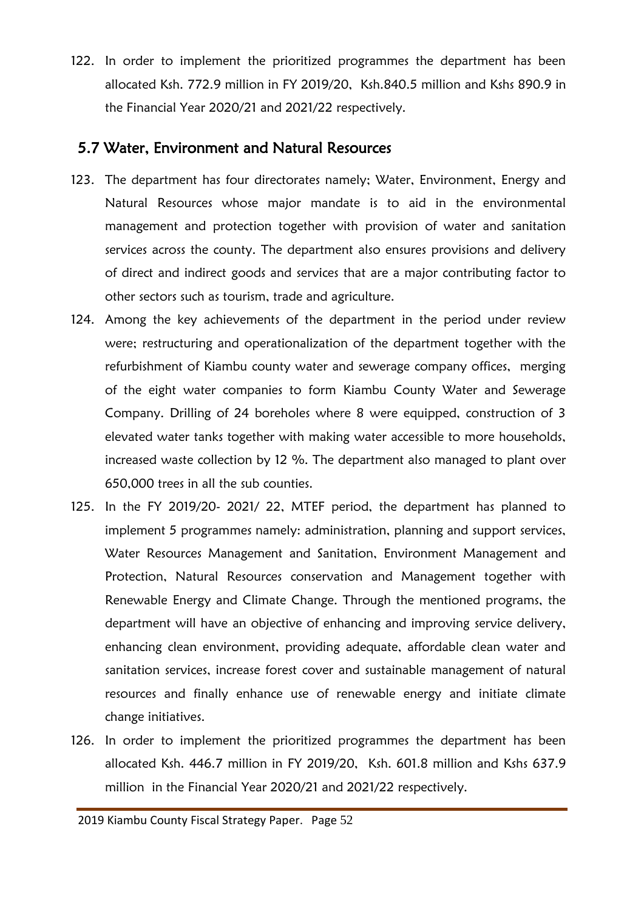122. In order to implement the prioritized programmes the department has been allocated Ksh. 772.9 million in FY 2019/20, Ksh.840.5 million and Kshs 890.9 in the Financial Year 2020/21 and 2021/22 respectively.

## <span id="page-51-0"></span>5.7 Water, Environment and Natural Resources

- 123. The department has four directorates namely; Water, Environment, Energy and Natural Resources whose major mandate is to aid in the environmental management and protection together with provision of water and sanitation services across the county. The department also ensures provisions and delivery of direct and indirect goods and services that are a major contributing factor to other sectors such as tourism, trade and agriculture.
- 124. Among the key achievements of the department in the period under review were; restructuring and operationalization of the department together with the refurbishment of Kiambu county water and sewerage company offices, merging of the eight water companies to form Kiambu County Water and Sewerage Company. Drilling of 24 boreholes where 8 were equipped, construction of 3 elevated water tanks together with making water accessible to more households, increased waste collection by 12 %. The department also managed to plant over 650,000 trees in all the sub counties.
- 125. In the FY 2019/20- 2021/ 22, MTEF period, the department has planned to implement 5 programmes namely: administration, planning and support services, Water Resources Management and Sanitation, Environment Management and Protection, Natural Resources conservation and Management together with Renewable Energy and Climate Change. Through the mentioned programs, the department will have an objective of enhancing and improving service delivery, enhancing clean environment, providing adequate, affordable clean water and sanitation services, increase forest cover and sustainable management of natural resources and finally enhance use of renewable energy and initiate climate change initiatives.
- 126. In order to implement the prioritized programmes the department has been allocated Ksh. 446.7 million in FY 2019/20, Ksh. 601.8 million and Kshs 637.9 million in the Financial Year 2020/21 and 2021/22 respectively.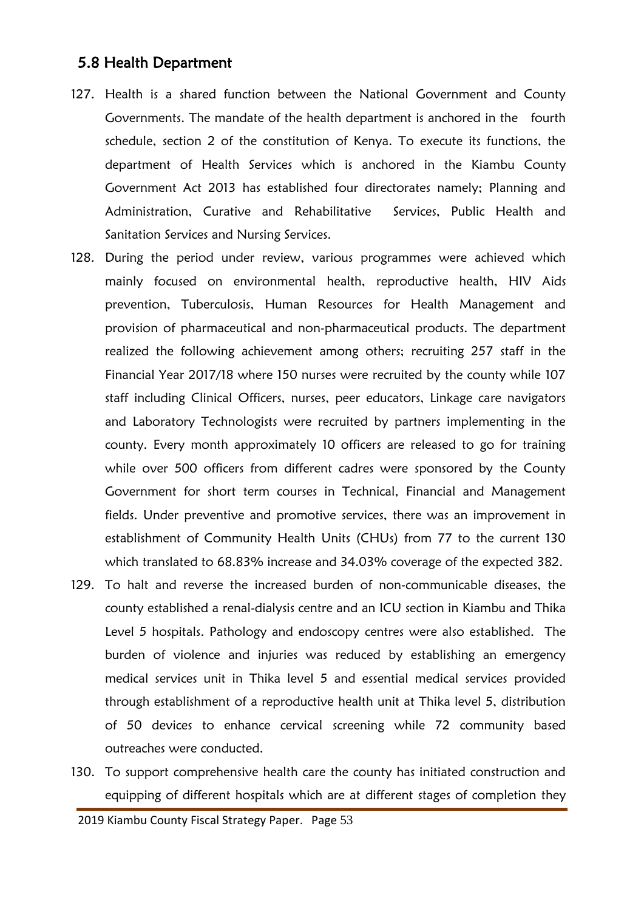#### <span id="page-52-0"></span>5.8 Health Department

- 127. Health is a shared function between the National Government and County Governments. The mandate of the health department is anchored in the fourth schedule, section 2 of the constitution of Kenya. To execute its functions, the department of Health Services which is anchored in the Kiambu County Government Act 2013 has established four directorates namely; Planning and Administration, Curative and Rehabilitative Services, Public Health and Sanitation Services and Nursing Services.
- 128. During the period under review, various programmes were achieved which mainly focused on environmental health, reproductive health, HIV Aids prevention, Tuberculosis, Human Resources for Health Management and provision of pharmaceutical and non-pharmaceutical products. The department realized the following achievement among others; recruiting 257 staff in the Financial Year 2017/18 where 150 nurses were recruited by the county while 107 staff including Clinical Officers, nurses, peer educators, Linkage care navigators and Laboratory Technologists were recruited by partners implementing in the county. Every month approximately 10 officers are released to go for training while over 500 officers from different cadres were sponsored by the County Government for short term courses in Technical, Financial and Management fields. Under preventive and promotive services, there was an improvement in establishment of Community Health Units (CHUs) from 77 to the current 130 which translated to 68.83% increase and 34.03% coverage of the expected 382.
- 129. To halt and reverse the increased burden of non-communicable diseases, the county established a renal-dialysis centre and an ICU section in Kiambu and Thika Level 5 hospitals. Pathology and endoscopy centres were also established. The burden of violence and injuries was reduced by establishing an emergency medical services unit in Thika level 5 and essential medical services provided through establishment of a reproductive health unit at Thika level 5, distribution of 50 devices to enhance cervical screening while 72 community based outreaches were conducted.
- 130. To support comprehensive health care the county has initiated construction and equipping of different hospitals which are at different stages of completion they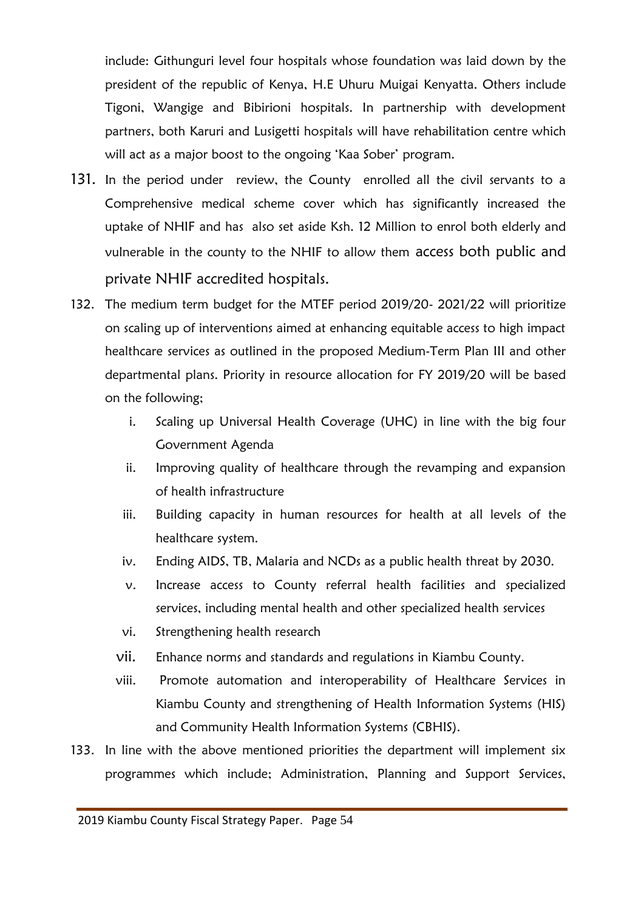include: Githunguri level four hospitals whose foundation was laid down by the president of the republic of Kenya, H.E Uhuru Muigai Kenyatta. Others include Tigoni, Wangige and Bibirioni hospitals. In partnership with development partners, both Karuri and Lusigetti hospitals will have rehabilitation centre which will act as a major boost to the ongoing 'Kaa Sober' program.

- 131. In the period under review, the County enrolled all the civil servants to a Comprehensive medical scheme cover which has significantly increased the uptake of NHIF and has also set aside Ksh. 12 Million to enrol both elderly and vulnerable in the county to the NHIF to allow them access both public and private NHIF accredited hospitals.
- 132. The medium term budget for the MTEF period 2019/20- 2021/22 will prioritize on scaling up of interventions aimed at enhancing equitable access to high impact healthcare services as outlined in the proposed Medium-Term Plan III and other departmental plans. Priority in resource allocation for FY 2019/20 will be based on the following;
	- i. Scaling up Universal Health Coverage (UHC) in line with the big four Government Agenda
	- ii. Improving quality of healthcare through the revamping and expansion of health infrastructure
	- iii. Building capacity in human resources for health at all levels of the healthcare system.
	- iv. Ending AIDS, TB, Malaria and NCDs as a public health threat by 2030.
	- v. Increase access to County referral health facilities and specialized services, including mental health and other specialized health services
	- vi. Strengthening health research
	- vii. Enhance norms and standards and regulations in Kiambu County.
	- viii. Promote automation and interoperability of Healthcare Services in Kiambu County and strengthening of Health Information Systems (HIS) and Community Health Information Systems (CBHIS).
- 133. In line with the above mentioned priorities the department will implement six programmes which include; Administration, Planning and Support Services,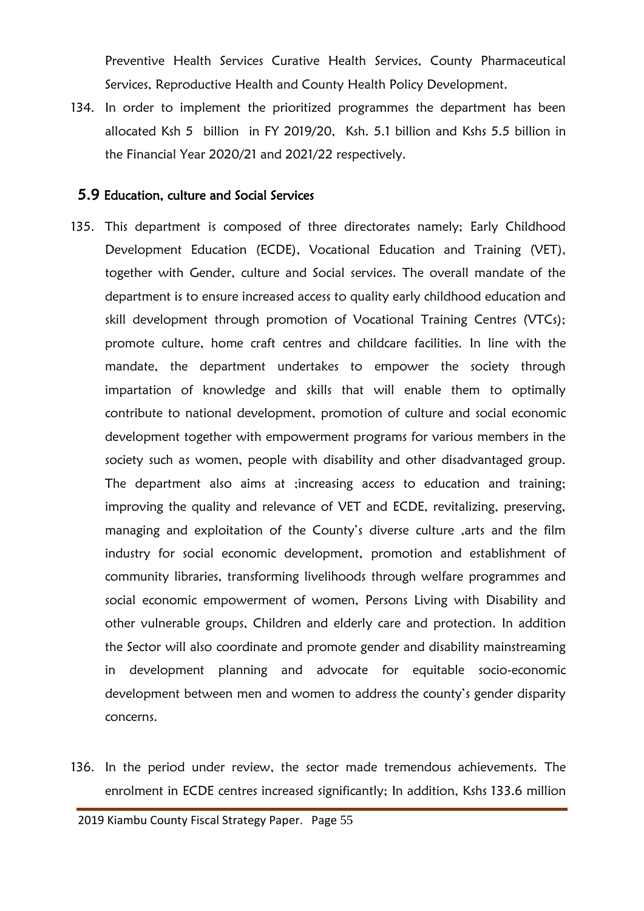Preventive Health Services Curative Health Services, County Pharmaceutical Services, Reproductive Health and County Health Policy Development.

134. In order to implement the prioritized programmes the department has been allocated Ksh 5 billion in FY 2019/20, Ksh. 5.1 billion and Kshs 5.5 billion in the Financial Year 2020/21 and 2021/22 respectively.

#### <span id="page-54-0"></span>5.9 Education, culture and Social Services

- 135. This department is composed of three directorates namely; Early Childhood Development Education (ECDE), Vocational Education and Training (VET), together with Gender, culture and Social services. The overall mandate of the department is to ensure increased access to quality early childhood education and skill development through promotion of Vocational Training Centres (VTCs); promote culture, home craft centres and childcare facilities. In line with the mandate, the department undertakes to empower the society through impartation of knowledge and skills that will enable them to optimally contribute to national development, promotion of culture and social economic development together with empowerment programs for various members in the society such as women, people with disability and other disadvantaged group. The department also aims at ;increasing access to education and training; improving the quality and relevance of VET and ECDE, revitalizing, preserving, managing and exploitation of the County's diverse culture ,arts and the film industry for social economic development, promotion and establishment of community libraries, transforming livelihoods through welfare programmes and social economic empowerment of women, Persons Living with Disability and other vulnerable groups, Children and elderly care and protection. In addition the Sector will also coordinate and promote gender and disability mainstreaming in development planning and advocate for equitable socio-economic development between men and women to address the county's gender disparity concerns.
- 136. In the period under review, the sector made tremendous achievements. The enrolment in ECDE centres increased significantly; In addition, Kshs 133.6 million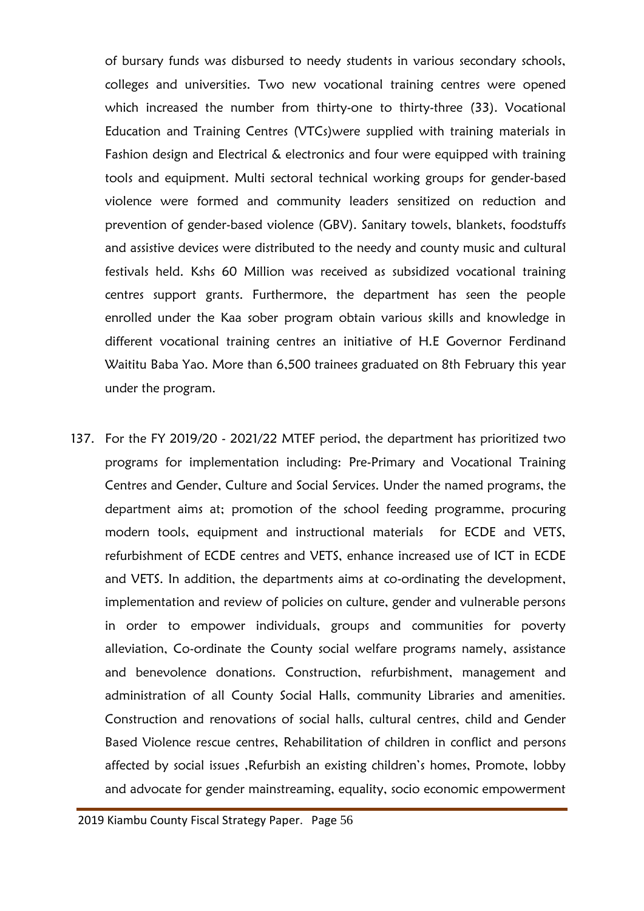of bursary funds was disbursed to needy students in various secondary schools, colleges and universities. Two new vocational training centres were opened which increased the number from thirty-one to thirty-three (33). Vocational Education and Training Centres (VTCs)were supplied with training materials in Fashion design and Electrical & electronics and four were equipped with training tools and equipment. Multi sectoral technical working groups for gender-based violence were formed and community leaders sensitized on reduction and prevention of gender-based violence (GBV). Sanitary towels, blankets, foodstuffs and assistive devices were distributed to the needy and county music and cultural festivals held. Kshs 60 Million was received as subsidized vocational training centres support grants. Furthermore, the department has seen the people enrolled under the Kaa sober program obtain various skills and knowledge in different vocational training centres an initiative of H.E Governor Ferdinand Waititu Baba Yao. More than 6,500 trainees graduated on 8th February this year under the program.

137. For the FY 2019/20 - 2021/22 MTEF period, the department has prioritized two programs for implementation including: Pre-Primary and Vocational Training Centres and Gender, Culture and Social Services. Under the named programs, the department aims at; promotion of the school feeding programme, procuring modern tools, equipment and instructional materials for ECDE and VETS, refurbishment of ECDE centres and VETS, enhance increased use of ICT in ECDE and VETS. In addition, the departments aims at co-ordinating the development, implementation and review of policies on culture, gender and vulnerable persons in order to empower individuals, groups and communities for poverty alleviation, Co-ordinate the County social welfare programs namely, assistance and benevolence donations. Construction, refurbishment, management and administration of all County Social Halls, community Libraries and amenities. Construction and renovations of social halls, cultural centres, child and Gender Based Violence rescue centres, Rehabilitation of children in conflict and persons affected by social issues ,Refurbish an existing children's homes, Promote, lobby and advocate for gender mainstreaming, equality, socio economic empowerment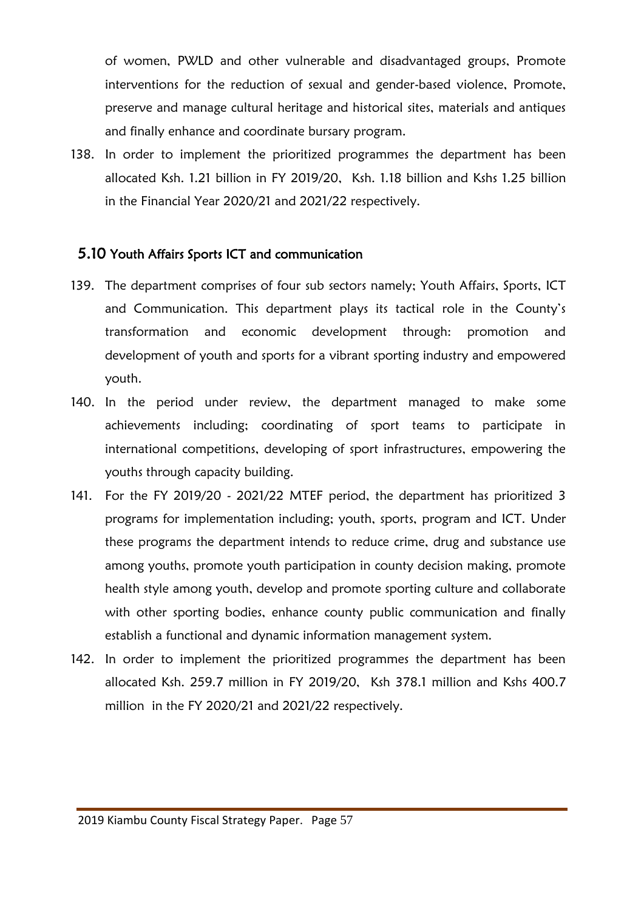of women, PWLD and other vulnerable and disadvantaged groups, Promote interventions for the reduction of sexual and gender-based violence, Promote, preserve and manage cultural heritage and historical sites, materials and antiques and finally enhance and coordinate bursary program.

138. In order to implement the prioritized programmes the department has been allocated Ksh. 1.21 billion in FY 2019/20, Ksh. 1.18 billion and Kshs 1.25 billion in the Financial Year 2020/21 and 2021/22 respectively.

#### <span id="page-56-0"></span>5.10 Youth Affairs Sports ICT and communication

- 139. The department comprises of four sub sectors namely; Youth Affairs, Sports, ICT and Communication. This department plays its tactical role in the County's transformation and economic development through: promotion and development of youth and sports for a vibrant sporting industry and empowered youth.
- 140. In the period under review, the department managed to make some achievements including; coordinating of sport teams to participate in international competitions, developing of sport infrastructures, empowering the youths through capacity building.
- 141. For the FY 2019/20 2021/22 MTEF period, the department has prioritized 3 programs for implementation including; youth, sports, program and ICT. Under these programs the department intends to reduce crime, drug and substance use among youths, promote youth participation in county decision making, promote health style among youth, develop and promote sporting culture and collaborate with other sporting bodies, enhance county public communication and finally establish a functional and dynamic information management system.
- 142. In order to implement the prioritized programmes the department has been allocated Ksh. 259.7 million in FY 2019/20, Ksh 378.1 million and Kshs 400.7 million in the FY 2020/21 and 2021/22 respectively.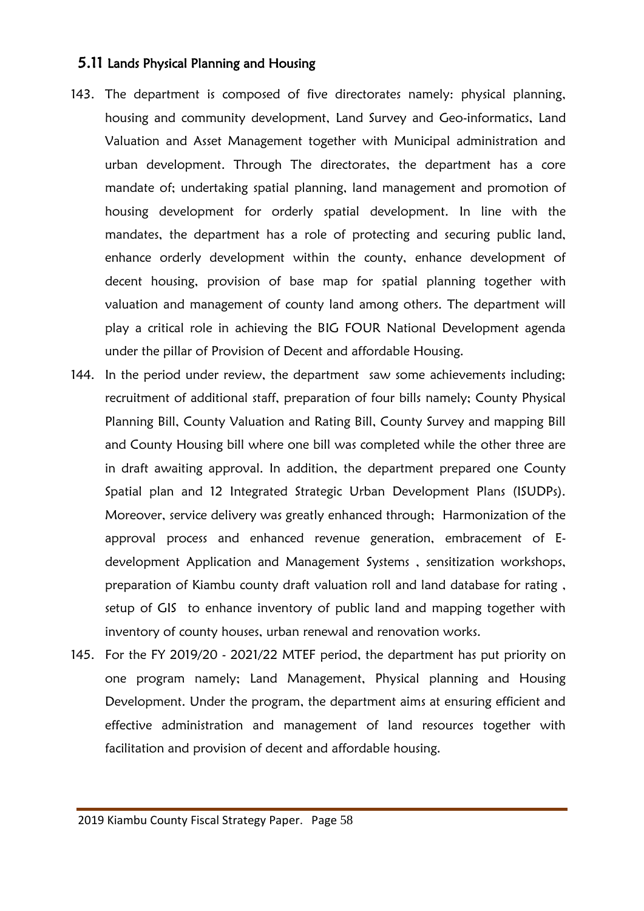#### <span id="page-57-0"></span>5.11 Lands Physical Planning and Housing

- 143. The department is composed of five directorates namely: physical planning, housing and community development, Land Survey and Geo-informatics, Land Valuation and Asset Management together with Municipal administration and urban development. Through The directorates, the department has a core mandate of; undertaking spatial planning, land management and promotion of housing development for orderly spatial development. In line with the mandates, the department has a role of protecting and securing public land, enhance orderly development within the county, enhance development of decent housing, provision of base map for spatial planning together with valuation and management of county land among others. The department will play a critical role in achieving the BIG FOUR National Development agenda under the pillar of Provision of Decent and affordable Housing.
- 144. In the period under review, the department saw some achievements including; recruitment of additional staff, preparation of four bills namely; County Physical Planning Bill, County Valuation and Rating Bill, County Survey and mapping Bill and County Housing bill where one bill was completed while the other three are in draft awaiting approval. In addition, the department prepared one County Spatial plan and 12 Integrated Strategic Urban Development Plans (ISUDPs). Moreover, service delivery was greatly enhanced through; Harmonization of the approval process and enhanced revenue generation, embracement of Edevelopment Application and Management Systems , sensitization workshops, preparation of Kiambu county draft valuation roll and land database for rating , setup of GIS to enhance inventory of public land and mapping together with inventory of county houses, urban renewal and renovation works.
- 145. For the FY 2019/20 2021/22 MTEF period, the department has put priority on one program namely; Land Management, Physical planning and Housing Development. Under the program, the department aims at ensuring efficient and effective administration and management of land resources together with facilitation and provision of decent and affordable housing.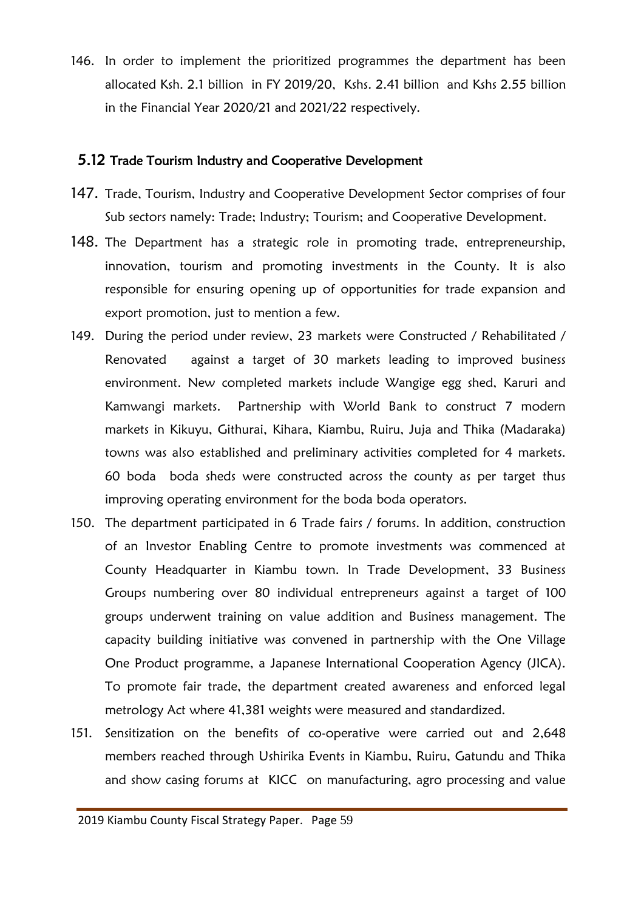146. In order to implement the prioritized programmes the department has been allocated Ksh. 2.1 billion in FY 2019/20, Kshs. 2.41 billion and Kshs 2.55 billion in the Financial Year 2020/21 and 2021/22 respectively.

#### <span id="page-58-0"></span>5.12 Trade Tourism Industry and Cooperative Development

- 147. Trade, Tourism, Industry and Cooperative Development Sector comprises of four Sub sectors namely: Trade; Industry; Tourism; and Cooperative Development.
- 148. The Department has a strategic role in promoting trade, entrepreneurship, innovation, tourism and promoting investments in the County. It is also responsible for ensuring opening up of opportunities for trade expansion and export promotion, just to mention a few.
- 149. During the period under review, 23 markets were Constructed / Rehabilitated / Renovated against a target of 30 markets leading to improved business environment. New completed markets include Wangige egg shed, Karuri and Kamwangi markets. Partnership with World Bank to construct 7 modern markets in Kikuyu, Githurai, Kihara, Kiambu, Ruiru, Juja and Thika (Madaraka) towns was also established and preliminary activities completed for 4 markets. 60 boda boda sheds were constructed across the county as per target thus improving operating environment for the boda boda operators.
- 150. The department participated in 6 Trade fairs / forums. In addition, construction of an Investor Enabling Centre to promote investments was commenced at County Headquarter in Kiambu town. In Trade Development, 33 Business Groups numbering over 80 individual entrepreneurs against a target of 100 groups underwent training on value addition and Business management. The capacity building initiative was convened in partnership with the One Village One Product programme, a Japanese International Cooperation Agency (JICA). To promote fair trade, the department created awareness and enforced legal metrology Act where 41,381 weights were measured and standardized.
- 151. Sensitization on the benefits of co-operative were carried out and 2,648 members reached through Ushirika Events in Kiambu, Ruiru, Gatundu and Thika and show casing forums at KICC on manufacturing, agro processing and value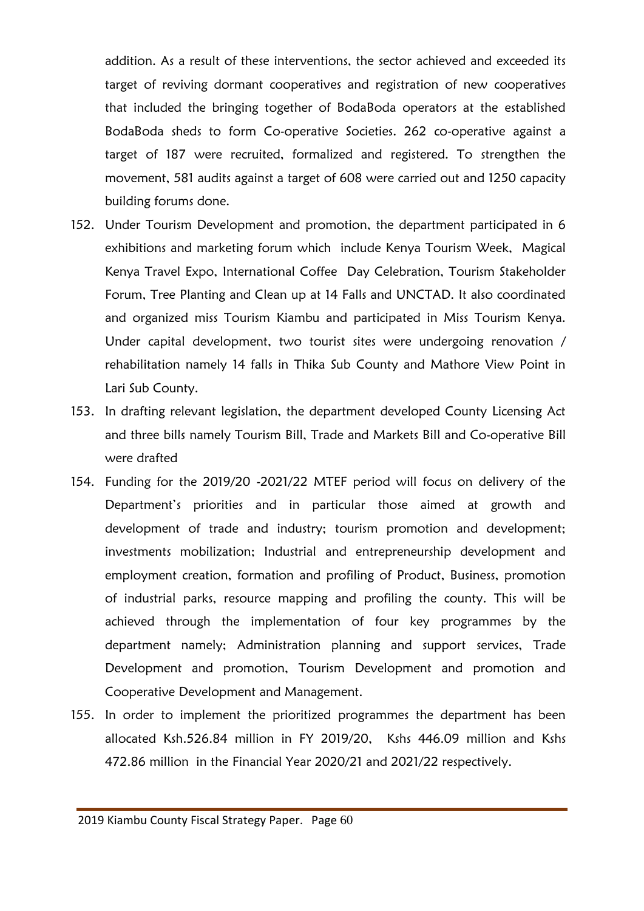addition. As a result of these interventions, the sector achieved and exceeded its target of reviving dormant cooperatives and registration of new cooperatives that included the bringing together of BodaBoda operators at the established BodaBoda sheds to form Co-operative Societies. 262 co-operative against a target of 187 were recruited, formalized and registered. To strengthen the movement, 581 audits against a target of 608 were carried out and 1250 capacity building forums done.

- 152. Under Tourism Development and promotion, the department participated in 6 exhibitions and marketing forum which include Kenya Tourism Week, Magical Kenya Travel Expo, International Coffee Day Celebration, Tourism Stakeholder Forum, Tree Planting and Clean up at 14 Falls and UNCTAD. It also coordinated and organized miss Tourism Kiambu and participated in Miss Tourism Kenya. Under capital development, two tourist sites were undergoing renovation / rehabilitation namely 14 falls in Thika Sub County and Mathore View Point in Lari Sub County.
- 153. In drafting relevant legislation, the department developed County Licensing Act and three bills namely Tourism Bill, Trade and Markets Bill and Co-operative Bill were drafted
- 154. Funding for the 2019/20 -2021/22 MTEF period will focus on delivery of the Department's priorities and in particular those aimed at growth and development of trade and industry; tourism promotion and development; investments mobilization; Industrial and entrepreneurship development and employment creation, formation and profiling of Product, Business, promotion of industrial parks, resource mapping and profiling the county. This will be achieved through the implementation of four key programmes by the department namely; Administration planning and support services, Trade Development and promotion, Tourism Development and promotion and Cooperative Development and Management.
- 155. In order to implement the prioritized programmes the department has been allocated Ksh.526.84 million in FY 2019/20, Kshs 446.09 million and Kshs 472.86 million in the Financial Year 2020/21 and 2021/22 respectively.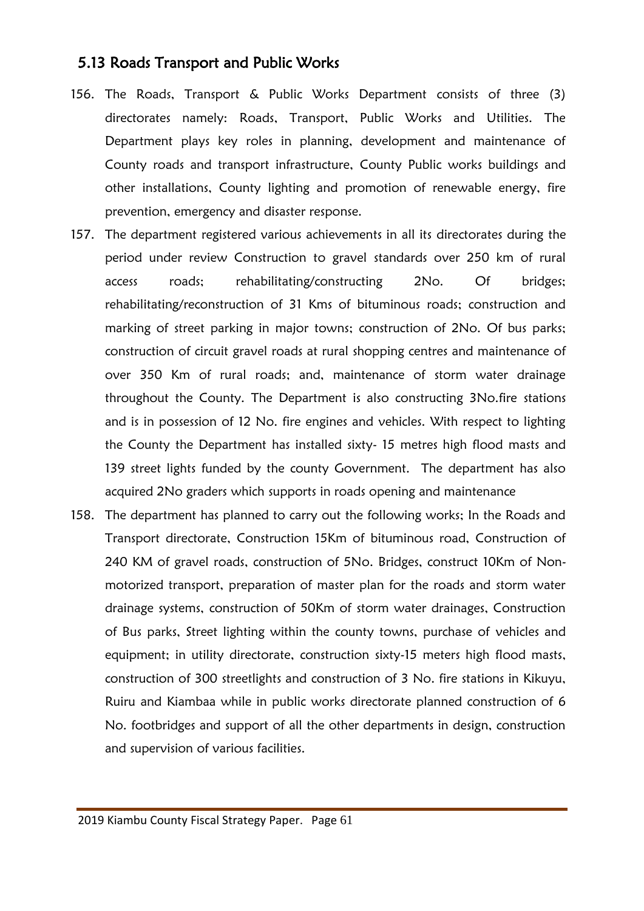## <span id="page-60-0"></span>5.13 Roads Transport and Public Works

- 156. The Roads, Transport & Public Works Department consists of three (3) directorates namely: Roads, Transport, Public Works and Utilities. The Department plays key roles in planning, development and maintenance of County roads and transport infrastructure, County Public works buildings and other installations, County lighting and promotion of renewable energy, fire prevention, emergency and disaster response.
- 157. The department registered various achievements in all its directorates during the period under review Construction to gravel standards over 250 km of rural access roads; rehabilitating/constructing 2No. Of bridges; rehabilitating/reconstruction of 31 Kms of bituminous roads; construction and marking of street parking in major towns; construction of 2No. Of bus parks; construction of circuit gravel roads at rural shopping centres and maintenance of over 350 Km of rural roads; and, maintenance of storm water drainage throughout the County. The Department is also constructing 3No.fire stations and is in possession of 12 No. fire engines and vehicles. With respect to lighting the County the Department has installed sixty- 15 metres high flood masts and 139 street lights funded by the county Government. The department has also acquired 2No graders which supports in roads opening and maintenance
- 158. The department has planned to carry out the following works; In the Roads and Transport directorate, Construction 15Km of bituminous road, Construction of 240 KM of gravel roads, construction of 5No. Bridges, construct 10Km of Nonmotorized transport, preparation of master plan for the roads and storm water drainage systems, construction of 50Km of storm water drainages, Construction of Bus parks, Street lighting within the county towns, purchase of vehicles and equipment; in utility directorate, construction sixty-15 meters high flood masts, construction of 300 streetlights and construction of 3 No. fire stations in Kikuyu, Ruiru and Kiambaa while in public works directorate planned construction of 6 No. footbridges and support of all the other departments in design, construction and supervision of various facilities.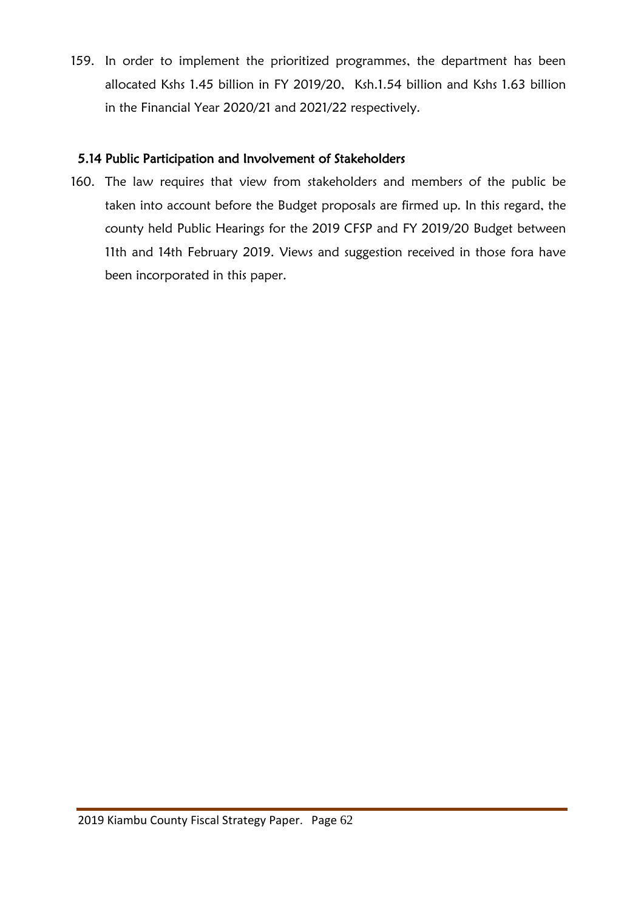159. In order to implement the prioritized programmes, the department has been allocated Kshs 1.45 billion in FY 2019/20, Ksh.1.54 billion and Kshs 1.63 billion in the Financial Year 2020/21 and 2021/22 respectively.

#### 5.14 Public Participation and Involvement of Stakeholders

160. The law requires that view from stakeholders and members of the public be taken into account before the Budget proposals are firmed up. In this regard, the county held Public Hearings for the 2019 CFSP and FY 2019/20 Budget between 11th and 14th February 2019. Views and suggestion received in those fora have been incorporated in this paper.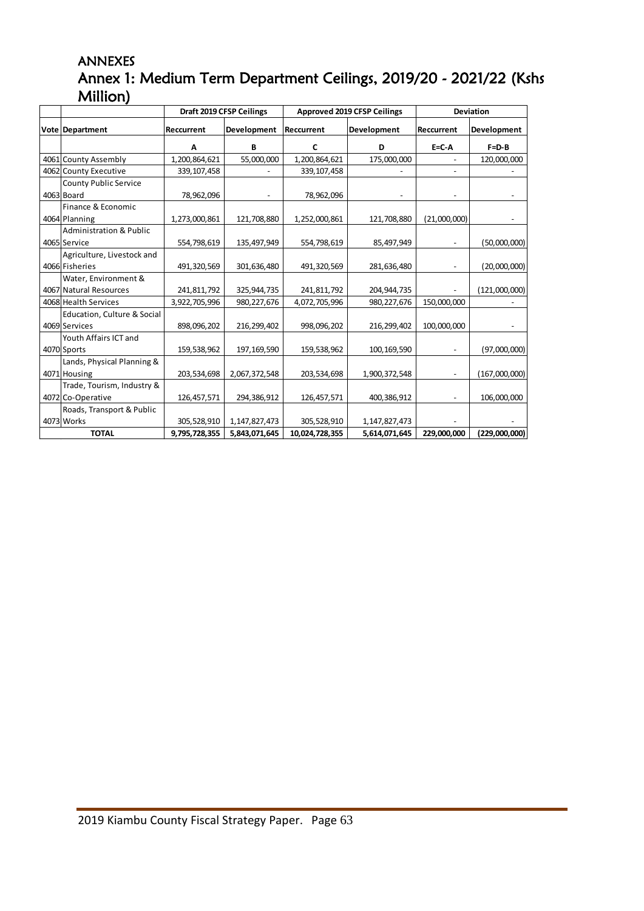### <span id="page-62-1"></span><span id="page-62-0"></span>ANNEXES Annex 1: Medium Term Department Ceilings, 2019/20 - 2021/22 (Kshs Million)

|                                    | Draft 2019 CFSP Ceilings |                    | Approved 2019 CFSP Ceilings |               | <b>Deviation</b> |               |
|------------------------------------|--------------------------|--------------------|-----------------------------|---------------|------------------|---------------|
| Vote Department                    | Reccurrent               | <b>Development</b> | Reccurrent                  | Development   | Reccurrent       | Development   |
|                                    | A                        | В                  | C                           | D             | $E = C - A$      | $F = D - B$   |
| 4061 County Assembly               | 1,200,864,621            | 55,000,000         | 1,200,864,621               | 175,000,000   |                  | 120,000,000   |
| 4062 County Executive              | 339, 107, 458            |                    | 339, 107, 458               |               |                  |               |
| <b>County Public Service</b>       |                          |                    |                             |               |                  |               |
| 4063 Board                         | 78,962,096               |                    | 78,962,096                  |               |                  |               |
| Finance & Economic                 |                          |                    |                             |               |                  |               |
| 4064 Planning                      | 1,273,000,861            | 121,708,880        | 1,252,000,861               | 121,708,880   | (21,000,000)     |               |
| <b>Administration &amp; Public</b> |                          |                    |                             |               |                  |               |
| 4065 Service                       | 554,798,619              | 135,497,949        | 554,798,619                 | 85,497,949    |                  | (50,000,000)  |
| Agriculture, Livestock and         |                          |                    |                             |               |                  |               |
| 4066 Fisheries                     | 491,320,569              | 301,636,480        | 491,320,569                 | 281,636,480   |                  | (20,000,000)  |
| Water, Environment &               |                          |                    |                             |               |                  |               |
| 4067 Natural Resources             | 241,811,792              | 325,944,735        | 241,811,792                 | 204,944,735   |                  | (121,000,000) |
| 4068 Health Services               | 3,922,705,996            | 980, 227, 676      | 4,072,705,996               | 980, 227, 676 | 150,000,000      |               |
| Education, Culture & Social        |                          |                    |                             |               |                  |               |
| 4069 Services                      | 898,096,202              | 216, 299, 402      | 998,096,202                 | 216, 299, 402 | 100,000,000      |               |
| Youth Affairs ICT and              |                          |                    |                             |               |                  |               |
| 4070 Sports                        | 159,538,962              | 197, 169, 590      | 159,538,962                 | 100, 169, 590 | $\overline{a}$   | (97,000,000)  |
| Lands, Physical Planning &         |                          |                    |                             |               |                  |               |
| 4071 Housing                       | 203,534,698              | 2,067,372,548      | 203,534,698                 | 1,900,372,548 |                  | (167,000,000) |
| Trade, Tourism, Industry &         |                          |                    |                             |               |                  |               |
| 4072 Co-Operative                  | 126,457,571              | 294,386,912        | 126,457,571                 | 400,386,912   |                  | 106,000,000   |
| Roads, Transport & Public          |                          |                    |                             |               |                  |               |
| 4073 Works                         | 305,528,910              | 1,147,827,473      | 305,528,910                 | 1,147,827,473 |                  |               |
| <b>TOTAL</b>                       | 9,795,728,355            | 5,843,071,645      | 10,024,728,355              | 5,614,071,645 | 229,000,000      | (229,000,000) |